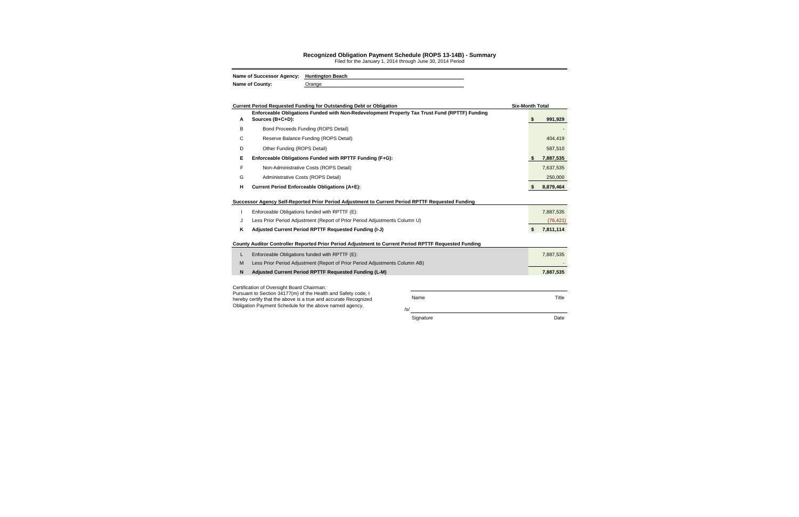|        | Current Period Requested Funding for Outstanding Debt or Obligation<br>Enforceable Obligations Funded with Non-Redevelopment Property Tax Trust Fund (RPTTF) Funding |            | <b>Six-Month Total</b> |                        |
|--------|----------------------------------------------------------------------------------------------------------------------------------------------------------------------|------------|------------------------|------------------------|
| A      | Sources (B+C+D):                                                                                                                                                     |            | \$                     | 991,929                |
| В      | Bond Proceeds Funding (ROPS Detail)                                                                                                                                  |            |                        |                        |
| С      | Reserve Balance Funding (ROPS Detail)                                                                                                                                |            |                        | 404,419                |
| D      | Other Funding (ROPS Detail)                                                                                                                                          |            |                        | 587,510                |
| Е      | Enforceable Obligations Funded with RPTTF Funding (F+G):                                                                                                             |            |                        | 7,887,535              |
| F      | Non-Administrative Costs (ROPS Detail)                                                                                                                               |            |                        | 7,637,535              |
| G      | Administrative Costs (ROPS Detail)                                                                                                                                   |            |                        | 250,000                |
| н      | Current Period Enforceable Obligations (A+E):                                                                                                                        |            | S.                     | 8,879,464              |
| J<br>κ | Less Prior Period Adjustment (Report of Prior Period Adjustments Column U)<br>Adjusted Current Period RPTTF Requested Funding (I-J)                                  |            | \$                     | (76, 421)<br>7,811,114 |
| L      | County Auditor Controller Reported Prior Period Adjustment to Current Period RPTTF Requested Funding<br>Enforceable Obligations funded with RPTTF (E):               |            |                        | 7,887,535              |
| M      | Less Prior Period Adjustment (Report of Prior Period Adjustments Column AB)                                                                                          |            |                        |                        |
| N      | Adjusted Current Period RPTTF Requested Funding (L-M)                                                                                                                |            |                        | 7,887,535              |
|        | Certification of Oversight Board Chairman:                                                                                                                           |            |                        |                        |
|        | Pursuant to Section 34177(m) of the Health and Safety code, I<br>hereby certify that the above is a true and accurate Recognized                                     | Name       |                        |                        |
|        | Obligation Payment Schedule for the above named agency.                                                                                                              | $\sqrt{s}$ |                        |                        |
|        |                                                                                                                                                                      | Signature  |                        |                        |

## **Recognized Obligation Payment Schedule (ROPS 13-14B) - Summary**

Filed for the January 1, 2014 through June 30, 2014 Period

| Name of Successor Agency: Huntington Beach |        |
|--------------------------------------------|--------|
| <b>Name of County:</b>                     | Orange |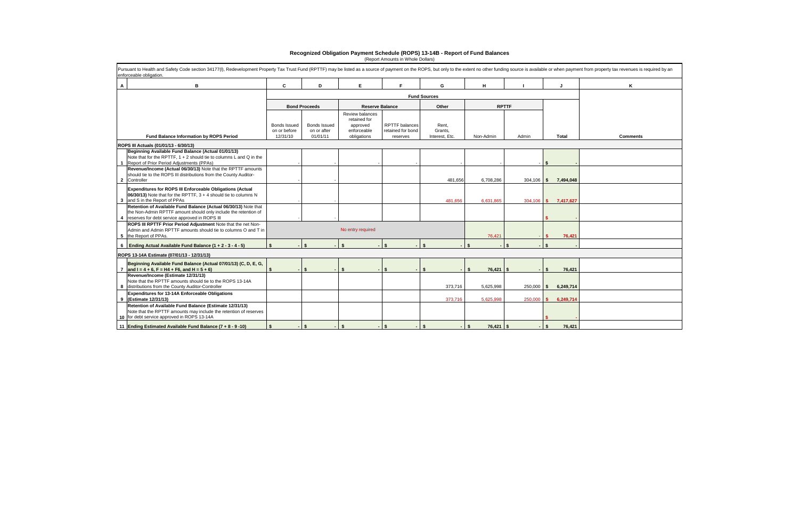| $\mathbf{A}$<br>В                                                                                                                                                                          | C                                               | D                                       | E.                                                                        | F                                                      | G                                  | н                 |              |                      | Κ               |
|--------------------------------------------------------------------------------------------------------------------------------------------------------------------------------------------|-------------------------------------------------|-----------------------------------------|---------------------------------------------------------------------------|--------------------------------------------------------|------------------------------------|-------------------|--------------|----------------------|-----------------|
|                                                                                                                                                                                            |                                                 |                                         |                                                                           |                                                        | <b>Fund Sources</b>                |                   |              |                      |                 |
|                                                                                                                                                                                            |                                                 | <b>Bond Proceeds</b>                    |                                                                           | <b>Reserve Balance</b>                                 | Other                              |                   | <b>RPTTF</b> |                      |                 |
| Fund Balance Information by ROPS Period                                                                                                                                                    | <b>Bonds Issued</b><br>on or before<br>12/31/10 | Bonds Issued<br>on or after<br>01/01/11 | Review balances<br>retained for<br>approved<br>enforceable<br>obligations | <b>RPTTF</b> balances<br>retained for bond<br>reserves | Rent,<br>Grants.<br>Interest, Etc. | Non-Admin         | Admin        | <b>Total</b>         | <b>Comments</b> |
| ROPS III Actuals (01/01/13 - 6/30/13)                                                                                                                                                      |                                                 |                                         |                                                                           |                                                        |                                    |                   |              |                      |                 |
| Beginning Available Fund Balance (Actual 01/01/13)<br>Note that for the RPTTF, $1 + 2$ should tie to columns L and Q in the<br>Report of Prior Period Adjustments (PPAs)                   |                                                 |                                         |                                                                           |                                                        |                                    |                   |              |                      |                 |
| Revenue/Income (Actual 06/30/13) Note that the RPTTF amounts<br>should tie to the ROPS III distributions from the County Auditor-<br>Controller<br>$\mathbf{2}$                            |                                                 |                                         |                                                                           |                                                        | 481,656                            | 6,708,286         |              | 304,106 \$ 7,494,048 |                 |
| Expenditures for ROPS III Enforceable Obligations (Actual<br>06/30/13) Note that for the RPTTF, $3 + 4$ should tie to columns N<br>and S in the Report of PPAs<br>$3^{\circ}$              |                                                 |                                         |                                                                           |                                                        | 481.656                            | 6.631.865         |              | 304,106 \$ 7,417,627 |                 |
| Retention of Available Fund Balance (Actual 06/30/13) Note that<br>the Non-Admin RPTTF amount should only include the retention of<br>reserves for debt service approved in ROPS III<br>-4 |                                                 |                                         |                                                                           |                                                        |                                    |                   |              |                      |                 |
| ROPS III RPTTF Prior Period Adjustment Note that the net Non-<br>Admin and Admin RPTTF amounts should tie to columns O and T in<br>5 the Report of PPAs.                                   |                                                 |                                         | No entry required                                                         |                                                        |                                    | 76,421            |              | 76.421               |                 |
| 6 Ending Actual Available Fund Balance $(1 + 2 - 3 - 4 - 5)$                                                                                                                               |                                                 | $\mathbf{s}$                            | \$                                                                        |                                                        |                                    |                   | \$           |                      |                 |
| ROPS 13-14A Estimate (07/01/13 - 12/31/13)                                                                                                                                                 |                                                 |                                         |                                                                           |                                                        |                                    |                   |              |                      |                 |
| Beginning Available Fund Balance (Actual 07/01/13) (C, D, E, G,<br>and $I = 4 + 6$ , $F = H4 + F6$ , and $H = 5 + 6$                                                                       |                                                 | \$                                      | \$                                                                        |                                                        |                                    | 76,421            | \$           | 76,421<br>\$         |                 |
| Revenue/Income (Estimate 12/31/13)<br>Note that the RPTTF amounts should tie to the ROPS 13-14A<br>8 distributions from the County Auditor-Controller                                      |                                                 |                                         |                                                                           |                                                        | 373,716                            | 5,625,998         | $250,000$ \$ | 6,249,714            |                 |
| <b>Expenditures for 13-14A Enforceable Obligations</b><br>9 (Estimate 12/31/13)                                                                                                            |                                                 |                                         |                                                                           |                                                        | 373,716                            | 5,625,998         | 250,000      | 6,249,714<br>-\$     |                 |
| Retention of Available Fund Balance (Estimate 12/31/13)<br>Note that the RPTTF amounts may include the retention of reserves<br>10 for debt service approved in ROPS 13-14A                |                                                 |                                         |                                                                           |                                                        |                                    |                   |              |                      |                 |
| 11 Ending Estimated Available Fund Balance (7 + 8 - 9 -10)                                                                                                                                 | $\sim$                                          | l \$                                    | \$                                                                        |                                                        | \$                                 | $76,421$ \$<br>\$ |              | 76,421               |                 |

## **Recognized Obligation Payment Schedule (ROPS) 13-14B - Report of Fund Balances** (Report Amounts in Whole Dollars)

| rom property tax revenues is required by an |
|---------------------------------------------|
| Κ                                           |
|                                             |
|                                             |
|                                             |
|                                             |
| <b>Comments</b>                             |
|                                             |
|                                             |
|                                             |
|                                             |
|                                             |
|                                             |
|                                             |
|                                             |
|                                             |
|                                             |
|                                             |
|                                             |
|                                             |
|                                             |
|                                             |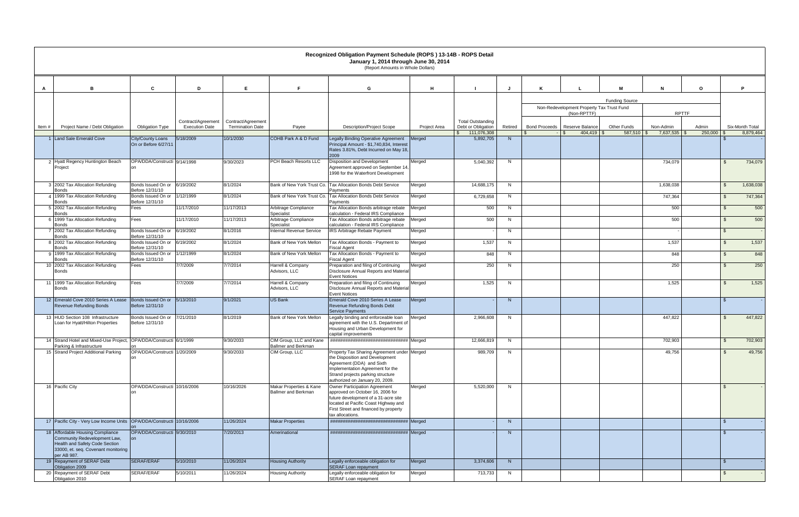|       |                                                                                                                                                          |                                                  |                       |                         |                                                       | Recognized Obligation Payment Schedule (ROPS) 13-14B - ROPS Detail<br>January 1, 2014 through June 30, 2014<br>(Report Amounts in Whole Dollars)                                                                        |              |                                   |         |                      |                                           |                             |                           |                       |                              |
|-------|----------------------------------------------------------------------------------------------------------------------------------------------------------|--------------------------------------------------|-----------------------|-------------------------|-------------------------------------------------------|-------------------------------------------------------------------------------------------------------------------------------------------------------------------------------------------------------------------------|--------------|-----------------------------------|---------|----------------------|-------------------------------------------|-----------------------------|---------------------------|-----------------------|------------------------------|
|       |                                                                                                                                                          |                                                  |                       |                         |                                                       |                                                                                                                                                                                                                         |              |                                   |         |                      |                                           |                             |                           |                       |                              |
|       | в                                                                                                                                                        | C                                                | D                     | E                       | E                                                     | G                                                                                                                                                                                                                       | н            |                                   |         |                      |                                           | м                           | N                         | $\mathbf{o}$          | P.                           |
|       |                                                                                                                                                          |                                                  |                       |                         |                                                       |                                                                                                                                                                                                                         |              |                                   |         |                      | Non-Redevelopment Property Tax Trust Fund | <b>Funding Source</b>       |                           |                       |                              |
|       |                                                                                                                                                          |                                                  | Contract/Agreement    | Contract/Agreement      |                                                       |                                                                                                                                                                                                                         |              | <b>Total Outstanding</b>          |         |                      | (Non-RPTTF)                               |                             | <b>RPTTF</b>              |                       |                              |
| Item# | Project Name / Debt Obligation                                                                                                                           | <b>Obligation Type</b>                           | <b>Execution Date</b> | <b>Termination Date</b> | Payee                                                 | <b>Description/Project Scope</b>                                                                                                                                                                                        | Project Area | Debt or Obligation<br>111,076,308 | Retired | <b>Bond Proceeds</b> | Reserve Balance<br>404,419 \$             | Other Funds<br>$587,510$ \$ | Non-Admin<br>7,637,535 \$ | Admin<br>$250,000$ \$ | Six-Month Total<br>8,879,464 |
|       | 1 Land Sale Emerald Cove                                                                                                                                 | <b>City/County Loans</b><br>On or Before 6/27/11 | 5/18/2009             | 10/1/2030               | COHB Park A & D Fund                                  | Legally Binding Operative Agreement<br>Principal Amount - \$1,740,834, Interest<br>Rates 3.81%, Debt Incurred on May 18,<br>2009                                                                                        | Merged       | 5,892,705                         | N       |                      |                                           |                             |                           |                       |                              |
|       | 2 Hyatt Regency Huntington Beach<br>Project                                                                                                              | OPA/DDA/Constructi 9/14/1998                     |                       | 9/30/2023               | PCH Beach Resorts LLC                                 | <b>Disposition and Development</b><br>Agreement approved on September 14,<br>1998 for the Waterfront Development                                                                                                        | Merged       | 5,040,392                         | N       |                      |                                           |                             | 734,079                   |                       | 734,079                      |
|       | 3 2002 Tax Allocation Refunding<br><b>Bonds</b>                                                                                                          | Bonds Issued On or 6/19/2002<br>Before 12/31/10  |                       | 8/1/2024                | Bank of New York Trust Co.                            | Tax Allocation Bonds Debt Service<br>Payments                                                                                                                                                                           | Merged       | 14,688,175                        | N       |                      |                                           |                             | 1,638,038                 |                       | 1,638,038<br>-\$             |
|       | 4 1999 Tax Allocation Refunding<br><b>Bonds</b>                                                                                                          | Bonds Issued On or<br>Before 12/31/10            | 1/12/1999             | 8/1/2024                | Bank of New York Trust Co.                            | <b>Tax Allocation Bonds Debt Service</b><br>Payments                                                                                                                                                                    | Merged       | 6,729,658                         | N       |                      |                                           |                             | 747,364                   |                       | 747,364<br>$\mathfrak{L}$    |
|       | 5 2002 Tax Allocation Refunding<br><b>Bonds</b>                                                                                                          | Fees                                             | 11/17/2010            | 11/17/2013              | Arbitrage Compliance<br>Specialist                    | Tax Allocation Bonds arbitrage rebate<br>calculation - Federal IRS Compliance                                                                                                                                           | Merged       | 500                               | N       |                      |                                           |                             | 500                       |                       | 500<br>$\mathfrak{L}$        |
|       | 6 1999 Tax Allocation Refunding<br><b>Bonds</b>                                                                                                          | Fees                                             | 11/17/2010            | 11/17/2013              | Arbitrage Compliance<br>Specialist                    | Tax Allocation Bonds arbitrage rebate<br>calculation - Federal IRS Compliance                                                                                                                                           | Merged       | 500                               | N       |                      |                                           |                             | 500                       |                       | 500<br>$\mathcal{L}$         |
|       | 7 2002 Tax Allocation Refunding<br><b>Bonds</b>                                                                                                          | Bonds Issued On or 6/19/2002<br>Before 12/31/10  |                       | 8/1/2016                | Internal Revenue Service                              | IRS Arbitrage Rebate Payment                                                                                                                                                                                            | Merged       |                                   | N       |                      |                                           |                             |                           |                       | $\mathfrak{L}$               |
|       | 8 2002 Tax Allocation Refunding<br><b>Bonds</b>                                                                                                          | Bonds Issued On or 6/19/2002<br>Before 12/31/10  |                       | 8/1/2024                | Bank of New York Mellon                               | Tax Allocation Bonds - Payment to<br>Fiscal Agent                                                                                                                                                                       | Merged       | 1,537                             | N       |                      |                                           |                             | 1,537                     |                       | $\mathcal{L}$<br>1,537       |
|       | 9 1999 Tax Allocation Refunding<br><b>Bonds</b>                                                                                                          | Bonds Issued On or<br>Before 12/31/10            | 1/12/1999             | 8/1/2024                | Bank of New York Mellon                               | Tax Allocation Bonds - Payment to<br>Fiscal Agent                                                                                                                                                                       | Merged       | 848                               | N       |                      |                                           |                             | 848                       |                       | 848<br>$\mathfrak{L}$        |
|       | 10 2002 Tax Allocation Refunding<br><b>Bonds</b>                                                                                                         | Fees                                             | 7/7/2009              | 7/7/2014                | Harrell & Company<br>Advisors, LLC                    | Preparation and filing of Continuing<br>Disclosure Annual Reports and Material<br><b>Event Notices</b>                                                                                                                  | Merged       | 250                               | N       |                      |                                           |                             | 250                       |                       | 250<br>$\mathcal{F}$         |
|       | 11 1999 Tax Allocation Refunding<br><b>Bonds</b>                                                                                                         | Fees                                             | 7/7/2009              | 7/7/2014                | Harrell & Company<br>Advisors, LLC                    | Preparation and filing of Continuing<br>Disclosure Annual Reports and Materia<br><b>Event Notices</b>                                                                                                                   | Merged       | 1,525                             | N.      |                      |                                           |                             | 1,525                     |                       | 1,525                        |
|       | 12 Emerald Cove 2010 Series A Lease<br>Revenue Refunding Bonds                                                                                           | Bonds Issued On or<br>Before 12/31/10            | 5/13/2010             | 9/1/2021                | <b>US Bank</b>                                        | Emerald Cove 2010 Series A Lease<br>Revenue Refunding Bonds Debt<br><b>Service Payments</b>                                                                                                                             | Merged       |                                   | N       |                      |                                           |                             |                           |                       |                              |
|       | 13 HUD Section 108 Infrastructure<br>Loan for Hyatt/Hilton Properties                                                                                    | Bonds Issued On or<br>Before 12/31/10            | 7/21/2010             | 8/1/2019                | Bank of New York Mellon                               | Legally binding and enforceable loan<br>agreement with the U.S. Department of<br>Housing and Urban Development for<br>capital improvements                                                                              | Merged       | 2,966,608                         | N       |                      |                                           |                             | 447,822                   |                       | 447,822                      |
|       | 14 Strand Hotel and Mixed-Use Project, OPA/DDA/Constructi 6/1/1999<br>Parking & Infrastructure                                                           |                                                  |                       | 9/30/2033               | CIM Group, LLC and Kane<br>Ballmer and Berkman        |                                                                                                                                                                                                                         |              | 12,666,819                        | N       |                      |                                           |                             | 702,903                   |                       | - 56<br>702,903              |
|       | 15 Strand Project Additional Parking                                                                                                                     | OPA/DDA/Constructi 1/20/2009                     |                       | 9/30/2033               | CIM Group, LLC                                        | Property Tax Sharing Agreement under Merged<br>the Disposition and Development<br>Agreement (DDA) and Sixth<br>Implementation Agreement for the<br>Strand projects parking structure<br>authorized on January 20, 2009. |              | 989,709                           | N       |                      |                                           |                             | 49,756                    |                       | $\mathfrak{L}$<br>49,756     |
|       | 16 Pacific City                                                                                                                                          | OPA/DDA/Constructi 10/16/2006                    |                       | 10/16/2026              | Makar Properties & Kane<br><b>Ballmer and Berkman</b> | <b>Owner Participation Agreement</b><br>approved on October 16, 2006 for<br>future development of a 31-acre site<br>located at Pacific Coast Highway and<br>First Street and financed by property<br>tax allocations.   | Merged       | 5,520,000                         | N       |                      |                                           |                             |                           |                       |                              |
|       | 17 Pacific City - Very Low Income Units OPA/DDA/Constructi 10/16/2006                                                                                    |                                                  |                       | 11/26/2024              | <b>Makar Properties</b>                               |                                                                                                                                                                                                                         |              |                                   | N       |                      |                                           |                             |                           |                       |                              |
|       | 18 Affordable Housing Compliance<br>Community Redevelopment Law,<br>Health and Safety Code Section<br>33000, et. seq. Covenant monitoring<br>per AB 987. | OPA/DDA/Constructi 9/30/2010                     |                       | 7/20/2013               | Amerinational                                         |                                                                                                                                                                                                                         |              |                                   | N       |                      |                                           |                             |                           |                       |                              |
|       | 19 Repayment of SERAF Debt<br>Obligation 2009                                                                                                            | SERAF/ERAF                                       | 5/10/2010             | 11/26/2024              | <b>Housing Authority</b>                              | Legally enforceable obligation for<br>SERAF Loan repayment                                                                                                                                                              | Merged       | 3,374,606                         | N       |                      |                                           |                             |                           |                       | $\mathbb{S}$                 |
|       | 20 Repayment of SERAF Debt<br>Obligation 2010                                                                                                            | SERAF/ERAF                                       | 5/10/2011             | 11/26/2024              | Housing Authority                                     | Legally enforceable obligation for<br>SERAF Loan repayment                                                                                                                                                              | Merged       | 713,733                           | N       |                      |                                           |                             |                           |                       |                              |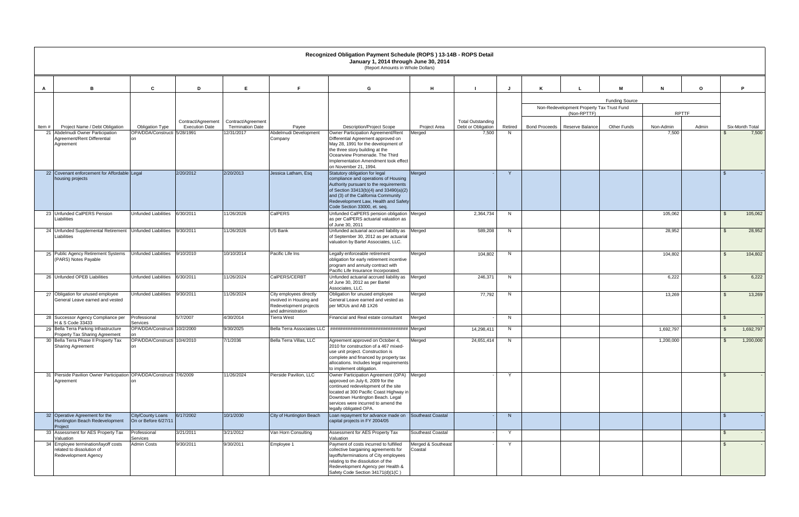|                                                                                           |                                                        |                       |                                       |                                                                                                    | Recognized Obligation Payment Schedule (ROPS) 13-14B - ROPS Detail<br>January 1, 2014 through June 30, 2014<br>(Report Amounts in Whole Dollars)                                                                                                                      |                               |                             |               |                                                          |                       |                    |              |                               |
|-------------------------------------------------------------------------------------------|--------------------------------------------------------|-----------------------|---------------------------------------|----------------------------------------------------------------------------------------------------|-----------------------------------------------------------------------------------------------------------------------------------------------------------------------------------------------------------------------------------------------------------------------|-------------------------------|-----------------------------|---------------|----------------------------------------------------------|-----------------------|--------------------|--------------|-------------------------------|
| в                                                                                         | C                                                      | D                     | E                                     | F                                                                                                  | G                                                                                                                                                                                                                                                                     | H                             |                             | J.            |                                                          | M                     | N                  | $\mathbf{o}$ | P.                            |
|                                                                                           |                                                        |                       |                                       |                                                                                                    |                                                                                                                                                                                                                                                                       |                               |                             |               |                                                          | <b>Funding Source</b> |                    |              |                               |
|                                                                                           |                                                        |                       |                                       |                                                                                                    |                                                                                                                                                                                                                                                                       |                               |                             |               | Non-Redevelopment Property Tax Trust Fund<br>(Non-RPTTF) |                       | <b>RPTTF</b>       |              |                               |
|                                                                                           |                                                        | Contract/Agreement    | Contract/Agreement                    |                                                                                                    |                                                                                                                                                                                                                                                                       |                               | <b>Total Outstanding</b>    |               |                                                          |                       |                    |              |                               |
| Project Name / Debt Obligation<br>Item#<br>21 Abdelmudi Owner Participation               | <b>Obligation Type</b><br>OPA/DDA/Constructi 5/28/1991 | <b>Execution Date</b> | <b>Termination Date</b><br>12/31/2017 | Payee<br>Abdelmudi Development                                                                     | <b>Description/Project Scope</b><br>Owner Participation Agreement/Rent                                                                                                                                                                                                | Project Area<br>Merged        | Debt or Obligation<br>7,500 | Retired<br>N. | Bond Proceeds   Reserve Balance                          | Other Funds           | Non-Admin<br>7,500 | Admin        | Six-Month Total<br>7,500      |
| Agreement/Rent Differential<br>Agreement                                                  |                                                        |                       |                                       | Company                                                                                            | Differential Agreement approved on<br>May 28, 1991 for the development of<br>the three story building at the<br>Oceanview Promenade. The Third<br>Implementation Amendment took effect<br>on November 21, 1994.                                                       |                               |                             |               |                                                          |                       |                    |              |                               |
| 22 Covenant enforcement for Affordable Legal                                              |                                                        | 2/20/2012             | 2/20/2013                             | Jessica Latham, Esg                                                                                | Statutory obligation for legal<br>compliance and operations of Housing                                                                                                                                                                                                | Merged                        |                             | $\mathsf{Y}$  |                                                          |                       |                    |              |                               |
| housing projects                                                                          |                                                        |                       |                                       |                                                                                                    | Authority pursuant to the requirements<br>of Section 33413(b)(4) and 33490(a)(2)<br>and (3) of the California Community<br>Redevelopment Law, Health and Safety<br>Code Section 33000, et. seq.                                                                       |                               |                             |               |                                                          |                       |                    |              |                               |
| 23 Unfunded CalPERS Pension<br>Liabilities                                                | <b>Unfunded Liabilities</b>                            | 6/30/2011             | 11/26/2026                            | CalPERS                                                                                            | Unfunded CalPERS pension obligation Merged<br>as per CalPERS actuarial valuation as<br>of June 30, 2011                                                                                                                                                               |                               | 2,364,734                   | N             |                                                          |                       | 105,062            |              | 105,062                       |
| 24 Unfunded Supplemental Retirement Unfunded Liabilities 9/30/2011<br>Liabilities         |                                                        |                       | 11/26/2026                            | US Bank                                                                                            | Unfunded actuarial accrued liability as Merged<br>of September 30, 2012 as per actuarial<br>valuation by Bartel Associates, LLC.                                                                                                                                      |                               | 589,208                     | N.            |                                                          |                       | 28,952             |              | 28,952<br>$\mathcal{L}$       |
| 25 Public Agency Retirement Systems<br>(PARS) Notes Payable                               | <b>Unfunded Liabilities</b>                            | 9/10/2010             | 10/10/2014                            | Pacific Life Ins                                                                                   | Legally enforceable retirement<br>obligation for early retirement incentive<br>program and annuity contract with<br>Pacific Life Insurance Incorporated                                                                                                               | Merged                        | 104,802                     | N             |                                                          |                       | 104,802            |              | $\hat{\mathbf{r}}$<br>104,802 |
| 26 Unfunded OPEB Liabilities                                                              | <b>Unfunded Liabilities</b>                            | 6/30/2011             | 11/26/2024                            | CalPERS/CERBT                                                                                      | Unfunded actuarial accrued liability as Merged<br>of June 30, 2012 as per Bartel<br>Associates, LLC.                                                                                                                                                                  |                               | 246,371                     | N             |                                                          |                       | 6,222              |              | 6,222<br>$\mathcal{L}$        |
| 27 Obligation for unused employee<br>General Leave earned and vested                      | <b>Unfunded Liabilities</b>                            | 9/30/2011             | 11/26/2024                            | City employees directly<br>involved in Housing and<br>Redevelopment projects<br>and administration | Obligation for unused employee<br>General Leave earned and vested as<br>per MOUs and AB 1X26                                                                                                                                                                          | Merged                        | 77,792                      | N.            |                                                          |                       | 13,269             |              | 13,269<br>$\mathfrak{L}$      |
| 28 Successor Agency Compliance per<br>H & S Code 33433                                    | Professional<br><b>Services</b>                        | 5/7/2007              | 4/30/2014                             | Tierra West                                                                                        | Financial and Real estate consultant                                                                                                                                                                                                                                  | Merged                        |                             | N             |                                                          |                       |                    |              | $\mathcal{L}$                 |
| 29 Bella Terra Parking Infrastructure<br>Property Tax Sharing Agreement                   | OPA/DDA/Constructi 10/2/2000<br>on                     |                       | 9/30/2025                             | <b>Bella Terra Associates LLC</b>                                                                  | ############################### Meraed                                                                                                                                                                                                                                |                               | 14,298,411                  | N.            |                                                          |                       | 1,692,797          |              | 1,692,797<br>$\mathfrak{L}$   |
| 30 Bella Terra Phase II Property Tax<br><b>Sharing Agreement</b>                          | OPA/DDA/Constructi 10/4/2010<br>lon                    |                       | 7/1/2036                              | Bella Terra Villas, LLC                                                                            | Agreement approved on October 4,<br>2010 for construction of a 467 mixed-<br>use unit project. Construction is<br>complete and financed by property tax<br>allocations. Includes legal requirements<br>to implement obligation.                                       | Merged                        | 24,651,414                  | <b>N</b>      |                                                          |                       | 1,200,000          |              | 1,200,000                     |
| 31 Pierside Pavilion Owner Participation OPA/DDA/Constructi 7/6/2009<br>Agreement         |                                                        |                       | 11/26/2024                            | Pierside Pavilion, LLC                                                                             | Owner Participation Agreement (OPA) Merged<br>approved on July 6, 2009 for the<br>continued redevelopment of the site<br>located at 300 Pacific Coast Highway in<br>Downtown Huntington Beach. Legal<br>services were incurred to amend the<br>legally obligated OPA. |                               |                             | $\mathsf{Y}$  |                                                          |                       |                    |              | $\mathcal{L}$                 |
| 32 Operative Agreement for the<br>Huntington Beach Redevelopment<br>Project               | <b>City/County Loans</b><br>On or Before 6/27/11       | 6/17/2002             | 10/1/2030                             | City of Huntington Beach                                                                           | Loan repayment for advance made on Southeast Coastal<br>capital projects in FY 2004/05                                                                                                                                                                                |                               |                             | N             |                                                          |                       |                    |              | $\mathbf{\hat{F}}$            |
| 33 Assessment for AES Property Tax<br>Valuation                                           | Professional<br>Services                               | 3/21/2011             | 3/21/2012                             | Van Horn Consulting                                                                                | Assessment for AES Property Tax<br>Valuation                                                                                                                                                                                                                          | Southeast Coastal             |                             | Y             |                                                          |                       |                    |              |                               |
| 34 Employee termination/layoff costs<br>related to dissolution of<br>Redevelopment Agency | Admin Costs                                            | 9/30/2011             | 9/30/2011                             | Employee 1                                                                                         | Payment of costs incurred to fulfilled<br>collective bargaining agreements for<br>layoffs/terminations of City employees<br>relating to the dissolution of the<br>Redevelopment Agency per Health &<br>Safety Code Section 34171(d)(1(C)                              | Merged & Southeast<br>Coastal |                             | Y             |                                                          |                       |                    |              |                               |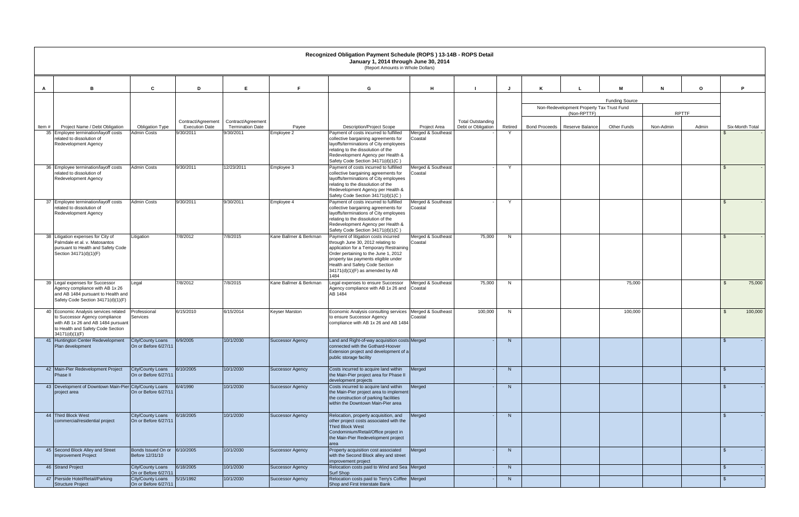|       |                                                                                   |                                                  |                                             |                                               |                         | Recognized Obligation Payment Schedule (ROPS) 13-14B - ROPS Detail<br>January 1, 2014 through June 30, 2014<br>(Report Amounts in Whole Dollars) |                               |                                                |         |                                           |                       |           |              |                           |
|-------|-----------------------------------------------------------------------------------|--------------------------------------------------|---------------------------------------------|-----------------------------------------------|-------------------------|--------------------------------------------------------------------------------------------------------------------------------------------------|-------------------------------|------------------------------------------------|---------|-------------------------------------------|-----------------------|-----------|--------------|---------------------------|
|       |                                                                                   |                                                  |                                             |                                               |                         |                                                                                                                                                  |                               |                                                |         |                                           |                       |           |              |                           |
| A     | B                                                                                 | C                                                | D                                           | E                                             | F                       | G                                                                                                                                                | н                             |                                                |         |                                           | м                     | N         | $\mathbf{o}$ | Þ                         |
|       |                                                                                   |                                                  |                                             |                                               |                         |                                                                                                                                                  |                               |                                                |         | Non-Redevelopment Property Tax Trust Fund | <b>Funding Source</b> |           |              |                           |
|       |                                                                                   |                                                  |                                             |                                               |                         |                                                                                                                                                  |                               |                                                |         | (Non-RPTTF)                               |                       |           | <b>RPTTF</b> |                           |
| Item# | Project Name / Debt Obligation                                                    | Obligation Type                                  | Contract/Agreement<br><b>Execution Date</b> | Contract/Agreement<br><b>Termination Date</b> | Payee                   | <b>Description/Project Scope</b>                                                                                                                 | Project Area                  | <b>Total Outstanding</b><br>Debt or Obligation | Retired | Bond Proceeds   Reserve Balance           | <b>Other Funds</b>    | Non-Admin | Admin        | Six-Month Total           |
|       | 35 Employee termination/layoff costs<br>related to dissolution of                 | Admin Costs                                      | 9/30/2011                                   | 9/30/2011                                     | Employee 2              | Payment of costs incurred to fulfilled<br>collective bargaining agreements for                                                                   | Merged & Southeast<br>Coastal |                                                |         |                                           |                       |           |              |                           |
|       | <b>Redevelopment Agency</b>                                                       |                                                  |                                             |                                               |                         | layoffs/terminations of City employees                                                                                                           |                               |                                                |         |                                           |                       |           |              |                           |
|       |                                                                                   |                                                  |                                             |                                               |                         | relating to the dissolution of the<br>Redevelopment Agency per Health &<br>Safety Code Section 34171(d)(1(C)                                     |                               |                                                |         |                                           |                       |           |              |                           |
|       | 36 Employee termination/layoff costs<br>related to dissolution of                 | <b>Admin Costs</b>                               | 9/30/2011                                   | 12/23/2011                                    | Employee 3              | Payment of costs incurred to fulfilled<br>collective bargaining agreements for                                                                   | Merged & Southeast<br>Coastal |                                                | Y       |                                           |                       |           |              | $\mathbf{\hat{s}}$        |
|       | <b>Redevelopment Agency</b>                                                       |                                                  |                                             |                                               |                         | layoffs/terminations of City employees                                                                                                           |                               |                                                |         |                                           |                       |           |              |                           |
|       |                                                                                   |                                                  |                                             |                                               |                         | relating to the dissolution of the<br>Redevelopment Agency per Health &                                                                          |                               |                                                |         |                                           |                       |           |              |                           |
|       | 37 Employee termination/layoff costs                                              | <b>Admin Costs</b>                               | 9/30/2011                                   | 9/30/2011                                     | Employee 4              | Safety Code Section 34171(d)(1(C)<br>Payment of costs incurred to fulfilled                                                                      | Merged & Southeast            |                                                | Y       |                                           |                       |           |              |                           |
|       | related to dissolution of                                                         |                                                  |                                             |                                               |                         | collective bargaining agreements for                                                                                                             | Coastal                       |                                                |         |                                           |                       |           |              |                           |
|       | <b>Redevelopment Agency</b>                                                       |                                                  |                                             |                                               |                         | layoffs/terminations of City employees<br>relating to the dissolution of the                                                                     |                               |                                                |         |                                           |                       |           |              |                           |
|       |                                                                                   |                                                  |                                             |                                               |                         | Redevelopment Agency per Health &<br>Safety Code Section 34171(d)(1(C)                                                                           |                               |                                                |         |                                           |                       |           |              |                           |
|       | 38 Litigation expenses for City of<br>Palmdale et al. v. Matosantos               | Litigation                                       | 7/8/2012                                    | 7/8/2015                                      | Kane Ballmer & Berkman  | Payment of litigation costs incurred<br>through June 30, 2012 relating to                                                                        | Merged & Southeast<br>Coastal | 75,000                                         | N       |                                           |                       |           |              | ፍ                         |
|       | pursuant to Health and Safety Code                                                |                                                  |                                             |                                               |                         | application for a Temporary Restraining                                                                                                          |                               |                                                |         |                                           |                       |           |              |                           |
|       | Section 34171(d)(1)(F)                                                            |                                                  |                                             |                                               |                         | Order pertaining to the June 1, 2012<br>property tax payments eligible under                                                                     |                               |                                                |         |                                           |                       |           |              |                           |
|       |                                                                                   |                                                  |                                             |                                               |                         | Health and Safety Code Section<br>34171(d)(1)(F) as amended by AB                                                                                |                               |                                                |         |                                           |                       |           |              |                           |
|       | 39 Legal expenses for Successor                                                   | Legal                                            | 7/8/2012                                    | 7/8/2015                                      | Kane Ballmer & Berkman  | 1484<br>Legal expenses to ensure Successor                                                                                                       | Merged & Southeast            | 75,000                                         | N       |                                           | 75,000                |           |              | 75,000<br>- SS            |
|       | Agency compliance with AB 1x 26<br>and AB 1484 pursuant to Health and             |                                                  |                                             |                                               |                         | Agency compliance with AB 1x 26 and<br>AB 1484                                                                                                   | Coastal                       |                                                |         |                                           |                       |           |              |                           |
|       | Safety Code Section 34171(d)(1)(F)                                                |                                                  |                                             |                                               |                         |                                                                                                                                                  |                               |                                                |         |                                           |                       |           |              |                           |
|       | 40 Economic Analysis services related<br>to Successor Agency compliance           | Professional<br>Services                         | 6/15/2010                                   | 6/15/2014                                     | <b>Keyser Marston</b>   | Economic Analysis consulting services   Merged & Southeast<br>to ensure Successor Agency                                                         | Coastal                       | 100,000                                        | N       |                                           | 100,000               |           |              | 100,000<br>$\mathfrak{L}$ |
|       | with AB 1x 26 and AB 1484 pursuant                                                |                                                  |                                             |                                               |                         | compliance with AB 1x 26 and AB 1484                                                                                                             |                               |                                                |         |                                           |                       |           |              |                           |
|       | to Health and Safety Code Section<br>34171(d)(1)(F)                               |                                                  |                                             |                                               |                         |                                                                                                                                                  |                               |                                                |         |                                           |                       |           |              |                           |
|       | 41 Huntington Center Redevelopment City/County Loans 6/9/2005<br>Plan development | On or Before 6/27/11                             |                                             | 10/1/2030                                     | <b>Successor Agency</b> | Land and Right-of-way acquisition costs Merged<br>connected with the Gothard-Hoover                                                              |                               |                                                | N       |                                           |                       |           |              |                           |
|       |                                                                                   |                                                  |                                             |                                               |                         | Extension project and development of a<br>public storage facility                                                                                |                               |                                                |         |                                           |                       |           |              |                           |
|       | 42 Main-Pier Redevelopment Project                                                | City/County Loans                                | 6/10/2005                                   | 10/1/2030                                     | <b>Successor Agency</b> | Costs incurred to acquire land within                                                                                                            | Merged                        |                                                | N       |                                           |                       |           |              | $\mathfrak{S}$            |
|       | Phase II                                                                          | On or Before 6/27/11                             |                                             |                                               |                         | the Main-Pier project area for Phase II<br>development projects                                                                                  |                               |                                                |         |                                           |                       |           |              |                           |
|       | 43 Development of Downtown Main-Pier City/County Loans<br>project area            | On or Before 6/27/11                             | 6/4/1990                                    | 10/1/2030                                     | <b>Successor Agency</b> | Costs incurred to acquire land within<br>the Main-Pier project area to implement                                                                 | Merged                        |                                                | N       |                                           |                       |           |              | - \$                      |
|       |                                                                                   |                                                  |                                             |                                               |                         | the construction of parking facilities<br>within the Downtown Main-Pier area                                                                     |                               |                                                |         |                                           |                       |           |              |                           |
|       | 44 Third Block West                                                               | <b>City/County Loans</b>                         | 6/18/2005                                   | 10/1/2030                                     | <b>Successor Agency</b> | Relocation, property acquisition, and                                                                                                            | Merged                        |                                                | N       |                                           |                       |           |              | - \$                      |
|       | commercial/residential project                                                    | On or Before 6/27/11                             |                                             |                                               |                         | other project costs associated with the<br>Third Block West                                                                                      |                               |                                                |         |                                           |                       |           |              |                           |
|       |                                                                                   |                                                  |                                             |                                               |                         | Condominium/Retail/Office project in                                                                                                             |                               |                                                |         |                                           |                       |           |              |                           |
|       |                                                                                   |                                                  |                                             |                                               |                         | the Main-Pier Redevelopment project<br>area                                                                                                      |                               |                                                |         |                                           |                       |           |              |                           |
|       | 45 Second Block Alley and Street<br><b>Improvement Project</b>                    | Bonds Issued On or 6/10/2005<br>Before 12/31/10  |                                             | 10/1/2030                                     | <b>Successor Agency</b> | Property acquisition cost associated<br>with the Second Block alley and street                                                                   | Merged                        |                                                | N       |                                           |                       |           |              | \$                        |
|       | 46 Strand Project                                                                 | <b>City/County Loans</b>                         | 6/18/2005                                   | 10/1/2030                                     | <b>Successor Agency</b> | improvement project<br>Relocation costs paid to Wind and Sea Merged                                                                              |                               |                                                | N       |                                           |                       |           |              | <b>S</b>                  |
|       |                                                                                   | On or Before 6/27/11                             |                                             |                                               |                         | Surf Shop                                                                                                                                        |                               |                                                |         |                                           |                       |           |              |                           |
|       | 47 Pierside Hotel/Retail/Parking<br><b>Structure Project</b>                      | <b>City/County Loans</b><br>On or Before 6/27/11 | 5/15/1992                                   | 10/1/2030                                     | <b>Successor Agency</b> | Relocation costs paid to Terry's Coffee   Merged<br>Shop and First Interstate Bank                                                               |                               |                                                | N       |                                           |                       |           |              | <b>S</b>                  |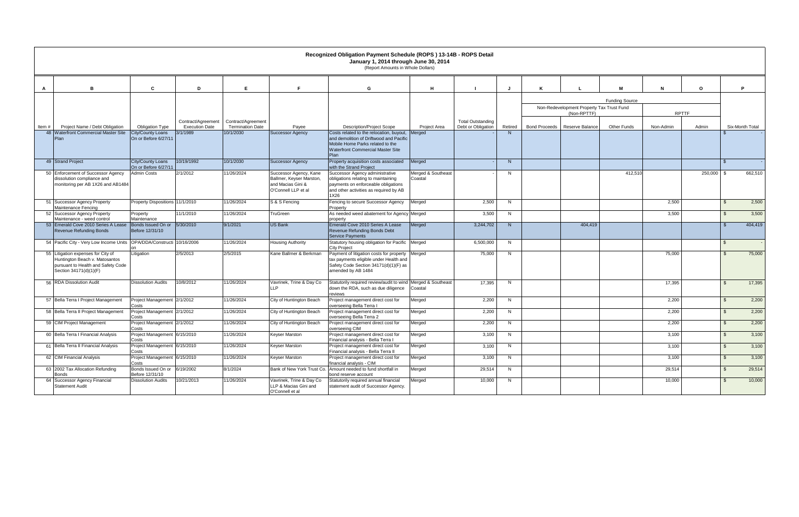|                                                                                                                                      |                                                  |                                             |                                               |                                                                                                | Recognized Obligation Payment Schedule (ROPS) 13-14B - ROPS Detail<br>January 1, 2014 through June 30, 2014<br>(Report Amounts in Whole Dollars)                                   |                               |                                                |         |                      |                                                          |                       |              |              |                |                 |
|--------------------------------------------------------------------------------------------------------------------------------------|--------------------------------------------------|---------------------------------------------|-----------------------------------------------|------------------------------------------------------------------------------------------------|------------------------------------------------------------------------------------------------------------------------------------------------------------------------------------|-------------------------------|------------------------------------------------|---------|----------------------|----------------------------------------------------------|-----------------------|--------------|--------------|----------------|-----------------|
| в                                                                                                                                    | C                                                | D                                           | E                                             | F                                                                                              | G                                                                                                                                                                                  | н                             |                                                |         |                      |                                                          | м                     | N            | $\mathbf{o}$ |                | P               |
|                                                                                                                                      |                                                  |                                             |                                               |                                                                                                |                                                                                                                                                                                    |                               |                                                |         |                      |                                                          | <b>Funding Source</b> |              |              |                |                 |
|                                                                                                                                      |                                                  |                                             |                                               |                                                                                                |                                                                                                                                                                                    |                               |                                                |         |                      | Non-Redevelopment Property Tax Trust Fund<br>(Non-RPTTF) |                       | <b>RPTTF</b> |              |                |                 |
| Project Name / Debt Obligation<br>Item $#$                                                                                           | Obligation Type                                  | Contract/Agreement<br><b>Execution Date</b> | Contract/Agreement<br><b>Termination Date</b> | Payee                                                                                          | <b>Description/Project Scope</b>                                                                                                                                                   | <b>Project Area</b>           | <b>Total Outstanding</b><br>Debt or Obligation | Retired | <b>Bond Proceeds</b> | Reserve Balance                                          | <b>Other Funds</b>    | Non-Admin    | Admin        |                | Six-Month Total |
| 48 Waterfront Commercial Master Site<br>Plan                                                                                         | City/County Loans<br>On or Before 6/27/11        | 3/1/1989                                    | 10/1/2030                                     | <b>Successor Agency</b>                                                                        | Costs related to the relocation, buyout, Merged<br>and demolition of Driftwood and Pacific<br>Mobile Home Parks related to the<br><b>Waterfront Commercial Master Site</b><br>Plan |                               |                                                | N       |                      |                                                          |                       |              |              |                |                 |
| 49 Strand Project                                                                                                                    | <b>City/County Loans</b><br>On or Before 6/27/11 | 10/19/1992                                  | 10/1/2030                                     | <b>Successor Agency</b>                                                                        | Property acquisition costs associated<br>with the Strand Project                                                                                                                   | Merged                        |                                                | N       |                      |                                                          |                       |              |              | $\mathbf{\$}$  |                 |
| 50 Enforcement of Successor Agency<br>dissolution compliance and<br>monitoring per AB 1X26 and AB1484                                | <b>Admin Costs</b>                               | 2/1/2012                                    | 1/26/2024                                     | Successor Agency, Kane<br>Ballmer, Keyser Marston,<br>and Macias Gini &<br>O'Connell LLP et al | Successor Agency administrative<br>obligations relating to maintaining<br>payments on enforceable obligations<br>and other activities as required by AB<br>1X26                    | Merged & Southeast<br>Coastal |                                                | N       |                      |                                                          | 412,510               |              | 250,000      | ∣\$            | 662,510         |
| 51 Successor Agency Property<br>Maintenance Fencing                                                                                  | Property Dispositions 11/1/2010                  |                                             | 11/26/2024                                    | S & S Fencing                                                                                  | Fencing to secure Successor Agency<br>Property                                                                                                                                     | Merged                        | 2,500                                          | N       |                      |                                                          |                       | 2,500        |              | -\$            | 2,500           |
| 52 Successor Agency Property<br>Maintenance - weed control                                                                           | Property<br>Maintenance                          | 11/1/2010                                   | 11/26/2024                                    | TruGreen                                                                                       | As needed weed abatement for Agency Merged<br>property                                                                                                                             |                               | 3,500                                          | N       |                      |                                                          |                       | 3,500        |              | $\mathfrak{S}$ | 3,500           |
| 53 Emerald Cove 2010 Series A Lease<br>Revenue Refunding Bonds                                                                       | Bonds Issued On or<br>Before 12/31/10            | 5/30/2010                                   | 9/1/2021                                      | <b>US Bank</b>                                                                                 | Emerald Cove 2010 Series A Lease<br>Revenue Refunding Bonds Debt<br><b>Service Payments</b>                                                                                        | Merged                        | 3,244,702                                      | N       |                      | 404,419                                                  |                       |              |              | \$             | 404,419         |
| 54   Pacific City - Very Low Income Units   OPA/DDA/Constructi 10/16/2006                                                            |                                                  |                                             | 11/26/2024                                    | Housing Authority                                                                              | Statutory housing obligation for Pacific Merged<br>City Project                                                                                                                    |                               | 6,500,000                                      | N       |                      |                                                          |                       |              |              | $\mathbb{S}$   |                 |
| 55 Litigation expenses for City of<br>Huntington Beach v. Matosantos<br>pursuant to Health and Safety Code<br>Section 34171(d)(1)(F) | Litigation                                       | 2/5/2013                                    | 2/5/2015                                      | Kane Ballmer & Berkman                                                                         | Payment of litigation costs for property Merged<br>tax payments eligible under Health and<br>Safety Code Section 34171(d)(1)(F) as<br>amended by AB 1484                           |                               | 75,000                                         | N       |                      |                                                          |                       | 75,000       |              | \$             | 75,000          |
| 56 RDA Dissolution Audit                                                                                                             | <b>Dissolution Audits</b>                        | 10/8/2012                                   | 1/26/2024                                     | Vavrinek, Trine & Day Co<br>LLP                                                                | Statutorily required review/audit to wind Merged & Southeast<br>down the RDA, such as due diligence<br>reviews                                                                     | Coastal                       | 17,395                                         | N       |                      |                                                          |                       | 17,395       |              | $\mathcal{S}$  | 17,395          |
| 57 Bella Terra I Project Management                                                                                                  | Project Management 2/1/2012<br>Costs             |                                             | 11/26/2024                                    | City of Huntington Beach                                                                       | Project management direct cost for<br>overseeing Bella Terra I                                                                                                                     | Merged                        | 2,200                                          | N       |                      |                                                          |                       | 2,200        |              | $\mathfrak{S}$ | 2,200           |
| 58 Bella Terra II Project Management                                                                                                 | Project Management 2/1/2012<br>Costs             |                                             | 11/26/2024                                    | City of Huntington Beach                                                                       | Project management direct cost for<br>overseeing Bella Terra 2                                                                                                                     | Merged                        | 2,200                                          | N       |                      |                                                          |                       | 2,200        |              | $\mathfrak{S}$ | 2,200           |
| 59 CIM Project Management                                                                                                            | Project Management 2/1/2012<br>Costs             |                                             | 11/26/2024                                    | City of Huntington Beach                                                                       | Project management direct cost for<br>overseeing CIM                                                                                                                               | Merged                        | 2,200                                          | N       |                      |                                                          |                       | 2,200        |              | $\mathbf{\$}$  | 2,200           |
| 60 Bella Terra I Financial Analysis                                                                                                  | Project Management 6/15/2010<br>Costs            |                                             | 1/26/2024                                     | Keyser Marston                                                                                 | Project management direct cost for<br>-ınancıal analysıs - Bella Terra I                                                                                                           | Merged                        | 3,100                                          | N       |                      |                                                          |                       | 3,100        |              | $\mathfrak{L}$ | 3,100           |
| 61 Bella Terra II Financial Analysis                                                                                                 | Project Management 6/15/2010<br>Costs            |                                             | 1/26/2024                                     | Keyser Marston                                                                                 | Project management direct cost for<br>Financial analysis - Bella Terra II                                                                                                          | Merged                        | 3,100                                          | N       |                      |                                                          |                       | 3,100        |              | $\mathfrak{S}$ | 3,100           |
| 62 CIM Financial Analysis                                                                                                            | Project Management 6/15/2010<br>Costs            |                                             | 11/26/2024                                    | Keyser Marston                                                                                 | Project management direct cost for<br>financial analysis - CIM                                                                                                                     | Merged                        | 3,100                                          | N       |                      |                                                          |                       | 3,100        |              | $\mathfrak{S}$ | 3,100           |
| 63 2002 Tax Allocation Refunding<br><b>Bonds</b>                                                                                     | Bonds Issued On or 6/19/2002<br>Before 12/31/10  |                                             | 8/1/2024                                      | Bank of New York Trust Co.                                                                     | Amount needed to fund shortfall in<br>bond reserve account                                                                                                                         | Merged                        | 29,514                                         | N       |                      |                                                          |                       | 29,514       |              | $\mathfrak{S}$ | 29,514          |
| 64 Successor Agency Financial<br><b>Statement Audit</b>                                                                              | <b>Dissolution Audits</b>                        | 10/21/2013                                  | 11/26/2024                                    | /avrinek, Trine & Day Co<br>LLP & Macias Gini and<br>O'Connell et al                           | Statutorily required annual financial<br>statement audit of Successor Agency.                                                                                                      | Merged                        | 10,000                                         | N       |                      |                                                          |                       | 10,000       |              | $\mathfrak{L}$ | 10,000          |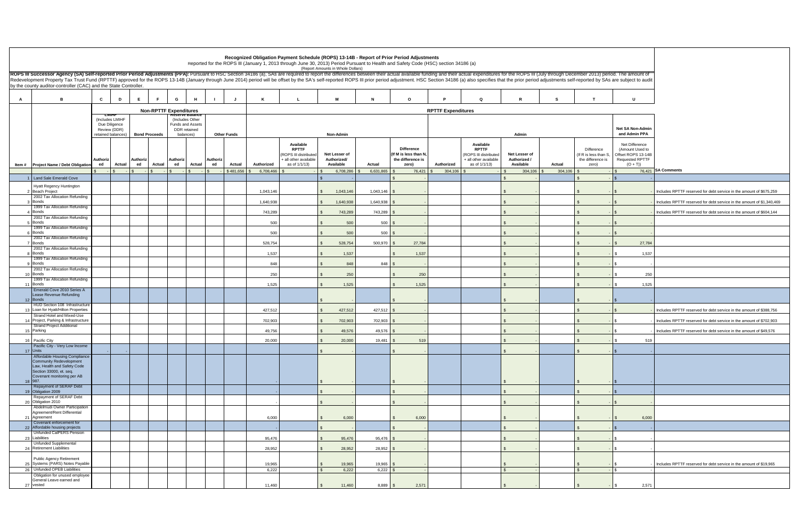|    |                                                                                                                                                                                                                                                                                                   |                               |        |                      |                               |                                         |                |                    |            | Recognized Obligation Payment Schedule (ROPS) 13-14B - Report of Prior Period Adjustments                                           |                                           |           |             |                                                                         |                           |                                                                                              |                                            |         |                                                                   |                                                                                                 |                                                                       |
|----|---------------------------------------------------------------------------------------------------------------------------------------------------------------------------------------------------------------------------------------------------------------------------------------------------|-------------------------------|--------|----------------------|-------------------------------|-----------------------------------------|----------------|--------------------|------------|-------------------------------------------------------------------------------------------------------------------------------------|-------------------------------------------|-----------|-------------|-------------------------------------------------------------------------|---------------------------|----------------------------------------------------------------------------------------------|--------------------------------------------|---------|-------------------------------------------------------------------|-------------------------------------------------------------------------------------------------|-----------------------------------------------------------------------|
|    | ROPS III Successor Agency (SA) Self-reported Prior Period Adjustments (PPA): Pursuant to HSC Section 34186 (a), SAs are required to report the differences between their actual available funding and their actual expenditure                                                                    |                               |        |                      |                               |                                         |                |                    |            | Reported for the ROPS III (January 1, 2013 through June 30, 2013) Period Pursuant to Health and Safety Code (HSC) section 34186 (a) | (Report Amounts in Whole Dollars)         |           |             |                                                                         |                           |                                                                                              |                                            |         |                                                                   |                                                                                                 |                                                                       |
|    | Redevelopment Property Tax Trust Fund (RPTTF) approved for the ROPS 13-14B (January through June 2014) period will be offset by the SA's self-reported ROPS III prior period adjustment. HSC Section 34186 (a) also specifies<br>by the county auditor-controller (CAC) and the State Controller. |                               |        |                      |                               |                                         |                |                    |            |                                                                                                                                     |                                           |           |             |                                                                         |                           |                                                                                              |                                            |         |                                                                   |                                                                                                 |                                                                       |
|    |                                                                                                                                                                                                                                                                                                   |                               |        |                      |                               |                                         |                |                    |            |                                                                                                                                     |                                           |           |             |                                                                         |                           |                                                                                              |                                            |         |                                                                   |                                                                                                 |                                                                       |
| А  | в                                                                                                                                                                                                                                                                                                 | $\mathbf{c}$                  | D      | E                    | F.<br>G                       | H                                       |                |                    | K          |                                                                                                                                     | м                                         |           |             | $\circ$                                                                 |                           | $\Omega$                                                                                     |                                            | S.      |                                                                   | U                                                                                               |                                                                       |
|    |                                                                                                                                                                                                                                                                                                   | тмп<br>(Includes LMIHF        |        |                      | <b>Non-RPTTF Expenditures</b> | eserve Balance<br>(Includes Other       |                |                    |            |                                                                                                                                     |                                           |           |             |                                                                         | <b>RPTTF Expenditures</b> |                                                                                              |                                            |         |                                                                   |                                                                                                 |                                                                       |
|    |                                                                                                                                                                                                                                                                                                   | Due Diligence<br>Review (DDR) |        |                      |                               | <b>Funds and Assets</b><br>DDR retained |                |                    |            |                                                                                                                                     |                                           |           |             |                                                                         |                           |                                                                                              |                                            |         |                                                                   | <b>Net SA Non-Admin</b>                                                                         |                                                                       |
|    |                                                                                                                                                                                                                                                                                                   | retained balances)            |        | <b>Bond Proceeds</b> |                               | balances)                               |                | <b>Other Funds</b> |            |                                                                                                                                     | <b>Non-Admin</b>                          |           |             |                                                                         |                           |                                                                                              | Admin                                      |         |                                                                   | and Admin PPA                                                                                   |                                                                       |
|    | Item # Project Name / Debt Obligation                                                                                                                                                                                                                                                             | Authoriz<br>ed                | Actual | Authoriz<br>ed       | Authoriz<br>Actual<br>ed      | Actual                                  | Authoriz<br>ed | Actual             | Authorized | Available<br><b>RPTTF</b><br>(ROPS III distributed<br>+ all other available<br>as of 1/1/13)                                        | Net Lesser of<br>Authorized/<br>Available |           | Actual      | <b>Difference</b><br>(If M is less than N<br>the difference is<br>zero) | Authorized                | Available<br><b>RPTTF</b><br>(ROPS III distributed<br>+ all other available<br>as of 1/1/13) | Net Lesser of<br>Authorized /<br>Available | Actual  | Difference<br>(If R is less than S,<br>the difference is<br>zero) | Net Difference<br>(Amount Used to<br>Offset ROPS 13-14B<br><b>Requested RPTTF</b><br>$(O + T))$ |                                                                       |
|    |                                                                                                                                                                                                                                                                                                   |                               |        |                      |                               |                                         |                | \$481,656          | 6,708,466  |                                                                                                                                     |                                           | 6,708,286 | 6,631,865   | 76,421                                                                  | 304,106                   |                                                                                              | 304,106                                    | 304,106 |                                                                   |                                                                                                 | 76,421 SA Comments                                                    |
|    | Land Sale Emerald Cove<br>Hyatt Regency Huntington                                                                                                                                                                                                                                                |                               |        |                      |                               |                                         |                |                    |            |                                                                                                                                     |                                           |           |             |                                                                         |                           |                                                                                              |                                            |         |                                                                   |                                                                                                 |                                                                       |
|    | <b>Beach Project</b><br>2002 Tax Allocation Refunding                                                                                                                                                                                                                                             |                               |        |                      |                               |                                         |                |                    | 1,043,146  |                                                                                                                                     |                                           | 1,043,146 | 1,043,146   |                                                                         |                           |                                                                                              |                                            |         |                                                                   |                                                                                                 | Includes RPTTF reserved for debt service in the amount of \$675,259   |
|    | 3 Bonds<br>1999 Tax Allocation Refunding                                                                                                                                                                                                                                                          |                               |        |                      |                               |                                         |                |                    | 1,640,938  |                                                                                                                                     |                                           | 1,640,938 | 1,640,938   |                                                                         |                           |                                                                                              |                                            |         |                                                                   |                                                                                                 | Includes RPTTF reserved for debt service in the amount of \$1,340,469 |
|    | <b>Bonds</b><br>2002 Tax Allocation Refunding                                                                                                                                                                                                                                                     |                               |        |                      |                               |                                         |                |                    | 743,289    |                                                                                                                                     |                                           | 743,289   | 743,289     |                                                                         |                           |                                                                                              |                                            |         |                                                                   |                                                                                                 | Includes RPTTF reserved for debt service in the amount of \$604,144   |
|    | <b>Bonds</b><br>1999 Tax Allocation Refunding                                                                                                                                                                                                                                                     |                               |        |                      |                               |                                         |                |                    | 500        |                                                                                                                                     |                                           | 500       | $500$ \$    |                                                                         |                           |                                                                                              |                                            |         |                                                                   |                                                                                                 |                                                                       |
|    | <b>Bonds</b><br>2002 Tax Allocation Refunding                                                                                                                                                                                                                                                     |                               |        |                      |                               |                                         |                |                    | 500        |                                                                                                                                     |                                           | 500       | 500S        |                                                                         |                           |                                                                                              |                                            |         |                                                                   |                                                                                                 |                                                                       |
|    | 7 Bonds<br>2002 Tax Allocation Refunding                                                                                                                                                                                                                                                          |                               |        |                      |                               |                                         |                |                    | 528,754    |                                                                                                                                     |                                           | 528,754   | 500,970     | 27,784                                                                  |                           |                                                                                              |                                            |         |                                                                   | 27,784                                                                                          |                                                                       |
|    | 8 Bonds<br>1999 Tax Allocation Refunding                                                                                                                                                                                                                                                          |                               |        |                      |                               |                                         |                |                    | 1,537      |                                                                                                                                     |                                           | 1,537     |             | 1,537                                                                   |                           |                                                                                              |                                            |         |                                                                   | 1,537                                                                                           |                                                                       |
|    | <b>Bonds</b><br>2002 Tax Allocation Refunding                                                                                                                                                                                                                                                     |                               |        |                      |                               |                                         |                |                    | 848        |                                                                                                                                     |                                           | 848       | 848 \$      |                                                                         |                           |                                                                                              |                                            |         |                                                                   |                                                                                                 |                                                                       |
|    | 10 Bonds<br>1999 Tax Allocation Refunding                                                                                                                                                                                                                                                         |                               |        |                      |                               |                                         |                |                    | 250        |                                                                                                                                     |                                           | 250       |             | 250                                                                     |                           |                                                                                              |                                            |         |                                                                   | 250<br>- \$                                                                                     |                                                                       |
|    | 11 Bonds<br>Emerald Cove 2010 Series A                                                                                                                                                                                                                                                            |                               |        |                      |                               |                                         |                |                    | 1,525      |                                                                                                                                     |                                           | 1,525     |             | 1,525                                                                   |                           |                                                                                              |                                            |         |                                                                   | 1,525                                                                                           |                                                                       |
|    | Lease Revenue Refunding<br>12 Bonds                                                                                                                                                                                                                                                               |                               |        |                      |                               |                                         |                |                    |            |                                                                                                                                     |                                           |           |             |                                                                         |                           |                                                                                              |                                            |         |                                                                   |                                                                                                 |                                                                       |
|    | HUD Section 108 Infrastructure<br>13 Loan for Hyatt/Hilton Properties                                                                                                                                                                                                                             |                               |        |                      |                               |                                         |                |                    | 427,512    |                                                                                                                                     |                                           | 427,512   | 427,512     |                                                                         |                           |                                                                                              |                                            |         |                                                                   |                                                                                                 | Includes RPTTF reserved for debt service in the amount of \$388,756   |
|    | Strand Hotel and Mixed-Use<br>14 Project, Parking & Infrastructure                                                                                                                                                                                                                                |                               |        |                      |                               |                                         |                |                    | 702,903    |                                                                                                                                     |                                           | 702,903   | 702,903     |                                                                         |                           |                                                                                              |                                            |         |                                                                   |                                                                                                 | Includes RPTTF reserved for debt service in the amount of \$702,903   |
|    | <b>Strand Project Additional</b><br>15 Parking                                                                                                                                                                                                                                                    |                               |        |                      |                               |                                         |                |                    | 49,756     |                                                                                                                                     |                                           | 49,576    | 49,576 \$   |                                                                         |                           |                                                                                              |                                            |         |                                                                   | -SS                                                                                             | Includes RPTTF reserved for debt service in the amount of \$49,576    |
|    | 16 Pacific City<br>Pacific City - Very Low Income                                                                                                                                                                                                                                                 |                               |        |                      |                               |                                         |                |                    | 20,000     |                                                                                                                                     |                                           | 20,000    | $19,481$ \$ | 519                                                                     |                           |                                                                                              |                                            |         | $\mathfrak{L}$                                                    | 519<br>$\mathcal{S}$                                                                            |                                                                       |
|    | 17 Units<br>Affordable Housing Compliance                                                                                                                                                                                                                                                         |                               |        |                      |                               |                                         |                |                    |            |                                                                                                                                     |                                           |           |             |                                                                         |                           |                                                                                              |                                            |         |                                                                   |                                                                                                 |                                                                       |
|    | Community Redevelopment<br>Law, Health and Safety Code<br>Section 33000, et. seq.<br>Covenant monitoring per AB                                                                                                                                                                                   |                               |        |                      |                               |                                         |                |                    |            |                                                                                                                                     |                                           |           |             |                                                                         |                           |                                                                                              |                                            |         |                                                                   |                                                                                                 |                                                                       |
|    | 18 987.<br>Repayment of SERAF Debt                                                                                                                                                                                                                                                                |                               |        |                      |                               |                                         |                |                    |            |                                                                                                                                     |                                           |           |             |                                                                         |                           |                                                                                              |                                            |         |                                                                   | S.                                                                                              |                                                                       |
|    | 19 Obligation 2009<br>Repayment of SERAF Debt                                                                                                                                                                                                                                                     |                               |        |                      |                               |                                         |                |                    |            |                                                                                                                                     |                                           |           |             |                                                                         |                           |                                                                                              |                                            |         |                                                                   |                                                                                                 |                                                                       |
|    | 20 Obligation 2010<br>Abdelmudi Owner Participation                                                                                                                                                                                                                                               |                               |        |                      |                               |                                         |                |                    |            |                                                                                                                                     |                                           |           |             |                                                                         |                           |                                                                                              |                                            |         |                                                                   |                                                                                                 |                                                                       |
|    | Agreement/Rent Differential<br>21 Agreement                                                                                                                                                                                                                                                       |                               |        |                      |                               |                                         |                |                    | 6,000      |                                                                                                                                     |                                           | 6,000     |             | 6,000                                                                   |                           |                                                                                              |                                            |         |                                                                   | 6,000                                                                                           |                                                                       |
|    | Covenant enforcement for<br>22 Affordable housing projects                                                                                                                                                                                                                                        |                               |        |                      |                               |                                         |                |                    |            |                                                                                                                                     |                                           |           |             |                                                                         |                           |                                                                                              |                                            |         |                                                                   |                                                                                                 |                                                                       |
| 23 | <b>Unfunded CalPERS Pension</b><br>Liabilities                                                                                                                                                                                                                                                    |                               |        |                      |                               |                                         |                |                    | 95,476     |                                                                                                                                     |                                           | 95,476    | 95,476      |                                                                         |                           |                                                                                              |                                            |         |                                                                   | \$                                                                                              |                                                                       |
|    | Unfunded Supplemental<br>24 Retirement Liabilities                                                                                                                                                                                                                                                |                               |        |                      |                               |                                         |                |                    | 28,952     |                                                                                                                                     |                                           | 28,952    | $28,952$ \$ |                                                                         |                           |                                                                                              |                                            |         |                                                                   |                                                                                                 |                                                                       |
|    | Public Agency Retirement<br>25 Systems (PARS) Notes Payable                                                                                                                                                                                                                                       |                               |        |                      |                               |                                         |                |                    | 19,965     |                                                                                                                                     |                                           | 19,965    | $19,965$ \$ |                                                                         |                           |                                                                                              |                                            |         |                                                                   | S.                                                                                              | Includes RPTTF reserved for debt service in the amount of \$19,965    |
|    | 26 Unfunded OPEB Liabilities<br>Obligation for unused employee                                                                                                                                                                                                                                    |                               |        |                      |                               |                                         |                |                    | 6,222      |                                                                                                                                     |                                           | 6,222     | 6,222       |                                                                         |                           |                                                                                              | $\mathbb{R}$                               |         | $\mathcal{S}$                                                     | $\mathsf{ls}$                                                                                   |                                                                       |
|    | General Leave earned and<br>27 vested                                                                                                                                                                                                                                                             |                               |        |                      |                               |                                         |                |                    | 11,460     |                                                                                                                                     |                                           | 11,460    | $8,889$ \$  | 2,571                                                                   |                           |                                                                                              |                                            |         |                                                                   | 2,571<br>$\mathcal{S}$                                                                          |                                                                       |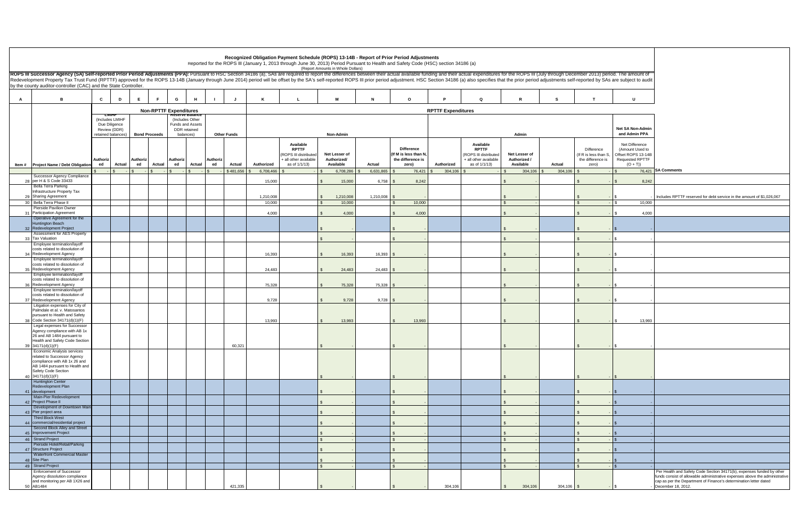|    |                                                                                                                                                                                                                                                                                                                                                                                                                                                                 |                                    |                               |                |                                     |                |                    |            | Recognized Obligation Payment Schedule (ROPS) 13-14B - Report of Prior Period Adjustments                                           |                                           |            |                                                                         |                           |                                                                                              |                                            |              |                                                                   |                                                                                                 |                                                                                                                                                                                                                                                 |
|----|-----------------------------------------------------------------------------------------------------------------------------------------------------------------------------------------------------------------------------------------------------------------------------------------------------------------------------------------------------------------------------------------------------------------------------------------------------------------|------------------------------------|-------------------------------|----------------|-------------------------------------|----------------|--------------------|------------|-------------------------------------------------------------------------------------------------------------------------------------|-------------------------------------------|------------|-------------------------------------------------------------------------|---------------------------|----------------------------------------------------------------------------------------------|--------------------------------------------|--------------|-------------------------------------------------------------------|-------------------------------------------------------------------------------------------------|-------------------------------------------------------------------------------------------------------------------------------------------------------------------------------------------------------------------------------------------------|
|    | ROPS III Successor Agency (SA) Self-reported Prior Period Adjustments (PPA): Pursuant to HSC Section 34186 (a), SAs are required to report the differences between their actual available funding and their actual expenditure<br>Redevelopment Property Tax Trust Fund (RPTTF) approved for the ROPS 13-14B (January through June 2014) period will be offset by the SA's self-reported ROPS III prior period adjustment. HSC Section 34186 (a) also specifies |                                    |                               |                |                                     |                |                    |            | Reported for the ROPS III (January 1, 2013 through June 30, 2013) Period Pursuant to Health and Safety Code (HSC) section 34186 (a) | (Report Amounts in Whole Dollars)         |            |                                                                         |                           |                                                                                              |                                            |              |                                                                   |                                                                                                 |                                                                                                                                                                                                                                                 |
|    | by the county auditor-controller (CAC) and the State Controller.                                                                                                                                                                                                                                                                                                                                                                                                |                                    |                               |                |                                     |                |                    |            |                                                                                                                                     |                                           |            |                                                                         |                           |                                                                                              |                                            |              |                                                                   |                                                                                                 |                                                                                                                                                                                                                                                 |
| A  | R                                                                                                                                                                                                                                                                                                                                                                                                                                                               | $\mathbf{c}$<br>D                  | E<br>F.                       | G              | H                                   |                | J                  | ĸ          |                                                                                                                                     | м                                         |            | $\circ$                                                                 |                           | $\Omega$                                                                                     |                                            |              |                                                                   | $\mathbf{U}$                                                                                    |                                                                                                                                                                                                                                                 |
|    |                                                                                                                                                                                                                                                                                                                                                                                                                                                                 | тишн                               | <b>Non-RPTTF Expenditures</b> |                |                                     |                |                    |            |                                                                                                                                     |                                           |            |                                                                         | <b>RPTTF Expenditures</b> |                                                                                              |                                            |              |                                                                   |                                                                                                 |                                                                                                                                                                                                                                                 |
|    |                                                                                                                                                                                                                                                                                                                                                                                                                                                                 | (Includes LMIHF<br>Due Diligence   |                               |                | (Includes Other<br>Funds and Assets |                |                    |            |                                                                                                                                     |                                           |            |                                                                         |                           |                                                                                              |                                            |              |                                                                   |                                                                                                 |                                                                                                                                                                                                                                                 |
|    |                                                                                                                                                                                                                                                                                                                                                                                                                                                                 | Review (DDR)<br>retained balances) | <b>Bond Proceeds</b>          |                | DDR retained<br>balances)           |                | <b>Other Funds</b> |            |                                                                                                                                     | Non-Admin                                 |            |                                                                         |                           |                                                                                              | Admin                                      |              |                                                                   | <b>Net SA Non-Admin</b><br>and Admin PPA                                                        |                                                                                                                                                                                                                                                 |
|    | Item # Project Name / Debt Obligation                                                                                                                                                                                                                                                                                                                                                                                                                           | Authoriz<br>ed<br><b>Actual</b>    | Authoriz<br>ed<br>Actual      | Authoriz<br>ed | Actual                              | Authoriz<br>ed | Actual             | Authorized | Available<br><b>RPTTF</b><br>(ROPS III distributed<br>+ all other available<br>as of 1/1/13)                                        | Net Lesser of<br>Authorized/<br>Available | Actual     | <b>Difference</b><br>(If M is less than N<br>the difference is<br>zero) | Authorized                | Available<br><b>RPTTF</b><br>(ROPS III distributed<br>+ all other available<br>as of 1/1/13) | Net Lesser of<br>Authorized /<br>Available | Actual       | Difference<br>(If R is less than S,<br>the difference is<br>zero) | Net Difference<br>(Amount Used to<br>Offset ROPS 13-14B<br><b>Requested RPTTF</b><br>$(O + T))$ |                                                                                                                                                                                                                                                 |
|    |                                                                                                                                                                                                                                                                                                                                                                                                                                                                 | $\mathcal{L}$                      |                               |                | $\frac{1}{3}$                       |                | \$481,656          | 6,708,466  |                                                                                                                                     | 6,708,286                                 | 6,631,865  | 76,421                                                                  | 304,106                   |                                                                                              | 304,106                                    | 304,106      |                                                                   | $\hat{\mathbf{r}}$                                                                              | 76,421 SA Comments                                                                                                                                                                                                                              |
|    | Successor Agency Compliance<br>28 per H & S Code 33433<br><b>Bella Terra Parking</b>                                                                                                                                                                                                                                                                                                                                                                            |                                    |                               |                |                                     |                |                    | 15,000     |                                                                                                                                     | 15,000                                    | 6,758      | 8,242                                                                   |                           |                                                                                              |                                            |              |                                                                   | 8,242                                                                                           |                                                                                                                                                                                                                                                 |
|    | Infrastructure Property Tax<br>29 Sharing Agreement                                                                                                                                                                                                                                                                                                                                                                                                             |                                    |                               |                |                                     |                |                    | 1,210,008  |                                                                                                                                     | 1,210,008                                 | 1,210,008  |                                                                         |                           |                                                                                              |                                            |              |                                                                   |                                                                                                 | Includes RPTTF reserved for debt service in the amount of \$1,026,067                                                                                                                                                                           |
|    | 30 Bella Terra Phase II                                                                                                                                                                                                                                                                                                                                                                                                                                         |                                    |                               |                |                                     |                |                    | 10,000     |                                                                                                                                     | 10,000                                    |            | 10,000                                                                  |                           |                                                                                              |                                            |              | $\mathcal{F}$                                                     | 10.000                                                                                          |                                                                                                                                                                                                                                                 |
| 31 | Pierside Pavilion Owner<br><b>Participation Agreement</b>                                                                                                                                                                                                                                                                                                                                                                                                       |                                    |                               |                |                                     |                |                    | 4,000      |                                                                                                                                     | 4,000                                     |            | 4,000                                                                   |                           |                                                                                              |                                            |              |                                                                   | 4,000<br>- S                                                                                    |                                                                                                                                                                                                                                                 |
|    | Operative Agreement for the<br><b>Huntington Beach</b><br>32 Redevelopment Project                                                                                                                                                                                                                                                                                                                                                                              |                                    |                               |                |                                     |                |                    |            |                                                                                                                                     |                                           |            |                                                                         |                           |                                                                                              |                                            |              |                                                                   |                                                                                                 |                                                                                                                                                                                                                                                 |
|    | Assessment for AES Property<br>33 Tax Valuation                                                                                                                                                                                                                                                                                                                                                                                                                 |                                    |                               |                |                                     |                |                    |            |                                                                                                                                     |                                           |            |                                                                         |                           |                                                                                              |                                            |              |                                                                   |                                                                                                 |                                                                                                                                                                                                                                                 |
|    | Employee termination/layoff<br>costs related to dissolution of<br>34 Redevelopment Agency                                                                                                                                                                                                                                                                                                                                                                       |                                    |                               |                |                                     |                |                    | 16.393     |                                                                                                                                     | 16,393                                    | 16,393     |                                                                         |                           |                                                                                              |                                            |              |                                                                   |                                                                                                 |                                                                                                                                                                                                                                                 |
|    | Employee termination/layoff<br>costs related to dissolution of<br>35 Redevelopment Agency                                                                                                                                                                                                                                                                                                                                                                       |                                    |                               |                |                                     |                |                    | 24,483     |                                                                                                                                     | 24,483                                    | 24,483     |                                                                         |                           |                                                                                              |                                            |              |                                                                   | S.                                                                                              |                                                                                                                                                                                                                                                 |
|    | Employee termination/layoff<br>costs related to dissolution of<br>36 Redevelopment Agency                                                                                                                                                                                                                                                                                                                                                                       |                                    |                               |                |                                     |                |                    | 75,328     |                                                                                                                                     | 75,328                                    | 75,328     |                                                                         |                           |                                                                                              |                                            |              |                                                                   |                                                                                                 |                                                                                                                                                                                                                                                 |
|    | Employee termination/layoff<br>costs related to dissolution of<br>37 Redevelopment Agency                                                                                                                                                                                                                                                                                                                                                                       |                                    |                               |                |                                     |                |                    | 9,728      |                                                                                                                                     | 9,728                                     | $9,728$ \$ |                                                                         |                           |                                                                                              |                                            |              |                                                                   |                                                                                                 |                                                                                                                                                                                                                                                 |
|    | Litigation expenses for City of<br>Palmdale et al. v. Matosantos<br>pursuant to Health and Safety                                                                                                                                                                                                                                                                                                                                                               |                                    |                               |                |                                     |                |                    |            |                                                                                                                                     |                                           |            |                                                                         |                           |                                                                                              |                                            |              |                                                                   |                                                                                                 |                                                                                                                                                                                                                                                 |
| 38 | Code Section 34171(d)(1)(F)<br>Legal expenses for Successor                                                                                                                                                                                                                                                                                                                                                                                                     |                                    |                               |                |                                     |                |                    | 13,993     |                                                                                                                                     | 13,993                                    |            | 13,993                                                                  |                           |                                                                                              |                                            |              |                                                                   | 13,993                                                                                          |                                                                                                                                                                                                                                                 |
|    | Agency compliance with AB 1x<br>26 and AB 1484 pursuant to<br>Health and Safety Code Section                                                                                                                                                                                                                                                                                                                                                                    |                                    |                               |                |                                     |                |                    |            |                                                                                                                                     |                                           |            |                                                                         |                           |                                                                                              |                                            |              |                                                                   |                                                                                                 |                                                                                                                                                                                                                                                 |
|    | 39 34171(d)(1)(F)<br>Economic Analysis services                                                                                                                                                                                                                                                                                                                                                                                                                 |                                    |                               |                |                                     |                | 60,321             |            |                                                                                                                                     |                                           |            |                                                                         |                           |                                                                                              |                                            |              |                                                                   |                                                                                                 |                                                                                                                                                                                                                                                 |
|    | related to Successor Agency<br>compliance with AB 1x 26 and<br>AB 1484 pursuant to Health and<br>Safety Code Section                                                                                                                                                                                                                                                                                                                                            |                                    |                               |                |                                     |                |                    |            |                                                                                                                                     |                                           |            |                                                                         |                           |                                                                                              |                                            |              |                                                                   |                                                                                                 |                                                                                                                                                                                                                                                 |
|    | 40 34171(d)(1)(F)<br><b>Huntington Center</b>                                                                                                                                                                                                                                                                                                                                                                                                                   |                                    |                               |                |                                     |                |                    |            |                                                                                                                                     |                                           |            |                                                                         |                           |                                                                                              |                                            |              |                                                                   |                                                                                                 |                                                                                                                                                                                                                                                 |
|    | Redevelopment Plan<br>41 development                                                                                                                                                                                                                                                                                                                                                                                                                            |                                    |                               |                |                                     |                |                    |            |                                                                                                                                     |                                           |            |                                                                         |                           |                                                                                              |                                            |              |                                                                   |                                                                                                 |                                                                                                                                                                                                                                                 |
|    | Main-Pier Redevelopment<br>42 Project Phase II                                                                                                                                                                                                                                                                                                                                                                                                                  |                                    |                               |                |                                     |                |                    |            |                                                                                                                                     |                                           |            |                                                                         |                           |                                                                                              |                                            |              |                                                                   |                                                                                                 |                                                                                                                                                                                                                                                 |
|    | Development of Downtown Main-<br>43 Pier project area                                                                                                                                                                                                                                                                                                                                                                                                           |                                    |                               |                |                                     |                |                    |            |                                                                                                                                     |                                           |            |                                                                         |                           |                                                                                              |                                            |              |                                                                   | S.                                                                                              |                                                                                                                                                                                                                                                 |
|    | <b>Third Block West</b><br>44 commercial/residential project                                                                                                                                                                                                                                                                                                                                                                                                    |                                    |                               |                |                                     |                |                    |            |                                                                                                                                     |                                           |            |                                                                         |                           |                                                                                              |                                            |              |                                                                   |                                                                                                 |                                                                                                                                                                                                                                                 |
|    | Second Block Alley and Street<br>45 Improvement Project                                                                                                                                                                                                                                                                                                                                                                                                         |                                    |                               |                |                                     |                |                    |            |                                                                                                                                     |                                           |            |                                                                         |                           |                                                                                              |                                            |              |                                                                   |                                                                                                 |                                                                                                                                                                                                                                                 |
|    | 46 Strand Project<br>Pierside Hotel/Retail/Parking                                                                                                                                                                                                                                                                                                                                                                                                              |                                    |                               |                |                                     |                |                    |            |                                                                                                                                     |                                           |            |                                                                         |                           |                                                                                              |                                            |              | $\mathcal{L}$                                                     | $\hat{\mathbf{r}}$                                                                              |                                                                                                                                                                                                                                                 |
|    | 47 Structure Project<br>Waterfront Commercial Master                                                                                                                                                                                                                                                                                                                                                                                                            |                                    |                               |                |                                     |                |                    |            |                                                                                                                                     |                                           |            |                                                                         |                           |                                                                                              |                                            |              |                                                                   | <b>S</b>                                                                                        |                                                                                                                                                                                                                                                 |
|    | 48 Site Plan<br>49 Strand Project                                                                                                                                                                                                                                                                                                                                                                                                                               |                                    |                               |                |                                     |                |                    |            |                                                                                                                                     |                                           |            |                                                                         |                           |                                                                                              | $\hat{\mathbf{r}}$                         |              | $\mathbb{S}$                                                      | $\mathcal{F}$                                                                                   |                                                                                                                                                                                                                                                 |
|    | <b>Enforcement of Successor</b><br>Agency dissolution compliance<br>and monitoring per AB 1X26 and<br>50 AB1484                                                                                                                                                                                                                                                                                                                                                 |                                    |                               |                |                                     |                | 421,335            |            |                                                                                                                                     |                                           |            |                                                                         | 304,106                   |                                                                                              | 304,106<br>$\mathbf{s}$                    | $304,106$ \$ |                                                                   |                                                                                                 | Per Health and Safety Code Section 34171(b), expenses funded by other<br>funds consist of allowable administrative expenses above the administrative<br>cap as per the Department of Finance's determination letter dated<br>December 18, 2012. |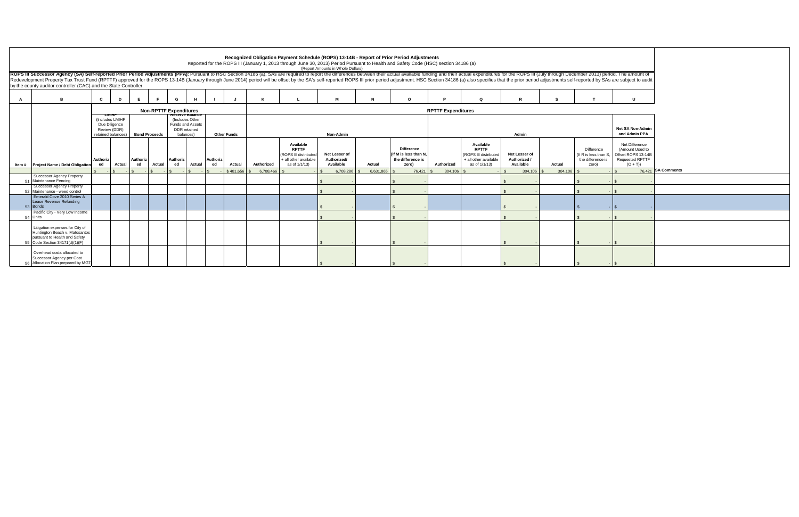| Recognized Obligation Payment Schedule (ROPS) 13-14B - Report of Prior Period Adjustments<br>Reported for the ROPS III (January 1, 2013 through June 30, 2013) Period Pursuant to Health and Safety Code (HSC) section 34186 (a)<br>(Report Amounts in Whole Dollars)<br>ROPS III Successor Agency (SA) Self-reported Prior Period Adjustments (PPA): Pursuant to HSC Section 34186 (a), SAs are required to report the differences between their actual available funding and their actual expenditure<br>Redevelopment Property Tax Trust Fund (RPTTF) approved for the ROPS 13-14B (January through June 2014) period will be offset by the SA's self-reported ROPS III prior period adjustment. HSC Section 34186 (a) also specifies<br>by the county auditor-controller (CAC) and the State Controller.<br>D<br>G<br>$\Omega$<br>$\mathbf{u}$<br>n.<br><b>Non-RPTTF Expenditures</b><br><b>RPTTF Expenditures</b><br><del>R</del> eserve Balance<br><b>СМІНІ-</b><br>(Includes LMIHF<br>(Includes Other<br>Due Diligence<br>Funds and Assets<br><b>Net SA Non-Admin</b><br>Review (DDR)<br><b>DDR</b> retained<br>and Admin PPA<br><b>Bond Proceeds</b><br><b>Other Funds</b><br><b>Non-Admin</b><br>retained balances)<br>balances)<br>Admin<br>Available<br>Available<br>Net Difference<br><b>RPTTF</b><br><b>Difference</b><br><b>RPTTF</b><br>Difference<br>(Amount Used to<br>Net Lesser of<br>(If M is less than N<br>(If R is less than S, Offset ROPS 13-14B)<br>(ROPS III distributed<br>(ROPS III distributed<br>Net Lesser of<br>Authoriz<br>Authoriz<br>Authorized/<br>the difference is<br><b>Requested RPTTF</b><br><b>Authoriz</b><br>Authoriz<br>+ all other available<br>+ all other available<br>Authorized /<br>the difference is<br>ed<br>as of 1/1/13)<br>Available<br>$(O + T)$<br>Actual<br>ed<br>Actual<br>ed<br>Actual<br>Authorized<br>Actual<br>Authorized<br>as of 1/1/13)<br>Available<br>Actual<br>ed<br>Actual<br>zero)<br>zero)<br><b>Project Name / Debt Obligation</b><br>ltem #<br>76,421 SA Comments<br>$\sqrt{S}$<br>$\sqrt{S}$<br>$\mathcal{R}$<br>6,708,286<br>6,631,865<br>76,421<br>304,106 \$<br>$304,106$ \$<br>$-15$<br>\$481,656<br>6.708.466 9<br>304,106<br>$\sim$<br><b>Successor Agency Property</b><br>51 Maintenance Fencing<br><b>Successor Agency Property</b><br>52 Maintenance - weed control<br>Emerald Cove 2010 Series A<br>Lease Revenue Refunding<br>53 Bonds<br>Pacific City - Very Low Income<br>54 Units<br>Litigation expenses for City of<br>Huntington Beach v. Matosantos<br>pursuant to Health and Safety |
|------------------------------------------------------------------------------------------------------------------------------------------------------------------------------------------------------------------------------------------------------------------------------------------------------------------------------------------------------------------------------------------------------------------------------------------------------------------------------------------------------------------------------------------------------------------------------------------------------------------------------------------------------------------------------------------------------------------------------------------------------------------------------------------------------------------------------------------------------------------------------------------------------------------------------------------------------------------------------------------------------------------------------------------------------------------------------------------------------------------------------------------------------------------------------------------------------------------------------------------------------------------------------------------------------------------------------------------------------------------------------------------------------------------------------------------------------------------------------------------------------------------------------------------------------------------------------------------------------------------------------------------------------------------------------------------------------------------------------------------------------------------------------------------------------------------------------------------------------------------------------------------------------------------------------------------------------------------------------------------------------------------------------------------------------------------------------------------------------------------------------------------------------------------------------------------------------------------------------------------------------------------------------------------------------------------------------------------------------------------------------------------------------------------------------------------------------------------------------------------------------------------------------------------------------------------------------------|
|                                                                                                                                                                                                                                                                                                                                                                                                                                                                                                                                                                                                                                                                                                                                                                                                                                                                                                                                                                                                                                                                                                                                                                                                                                                                                                                                                                                                                                                                                                                                                                                                                                                                                                                                                                                                                                                                                                                                                                                                                                                                                                                                                                                                                                                                                                                                                                                                                                                                                                                                                                                    |
|                                                                                                                                                                                                                                                                                                                                                                                                                                                                                                                                                                                                                                                                                                                                                                                                                                                                                                                                                                                                                                                                                                                                                                                                                                                                                                                                                                                                                                                                                                                                                                                                                                                                                                                                                                                                                                                                                                                                                                                                                                                                                                                                                                                                                                                                                                                                                                                                                                                                                                                                                                                    |
|                                                                                                                                                                                                                                                                                                                                                                                                                                                                                                                                                                                                                                                                                                                                                                                                                                                                                                                                                                                                                                                                                                                                                                                                                                                                                                                                                                                                                                                                                                                                                                                                                                                                                                                                                                                                                                                                                                                                                                                                                                                                                                                                                                                                                                                                                                                                                                                                                                                                                                                                                                                    |
|                                                                                                                                                                                                                                                                                                                                                                                                                                                                                                                                                                                                                                                                                                                                                                                                                                                                                                                                                                                                                                                                                                                                                                                                                                                                                                                                                                                                                                                                                                                                                                                                                                                                                                                                                                                                                                                                                                                                                                                                                                                                                                                                                                                                                                                                                                                                                                                                                                                                                                                                                                                    |
|                                                                                                                                                                                                                                                                                                                                                                                                                                                                                                                                                                                                                                                                                                                                                                                                                                                                                                                                                                                                                                                                                                                                                                                                                                                                                                                                                                                                                                                                                                                                                                                                                                                                                                                                                                                                                                                                                                                                                                                                                                                                                                                                                                                                                                                                                                                                                                                                                                                                                                                                                                                    |
|                                                                                                                                                                                                                                                                                                                                                                                                                                                                                                                                                                                                                                                                                                                                                                                                                                                                                                                                                                                                                                                                                                                                                                                                                                                                                                                                                                                                                                                                                                                                                                                                                                                                                                                                                                                                                                                                                                                                                                                                                                                                                                                                                                                                                                                                                                                                                                                                                                                                                                                                                                                    |
|                                                                                                                                                                                                                                                                                                                                                                                                                                                                                                                                                                                                                                                                                                                                                                                                                                                                                                                                                                                                                                                                                                                                                                                                                                                                                                                                                                                                                                                                                                                                                                                                                                                                                                                                                                                                                                                                                                                                                                                                                                                                                                                                                                                                                                                                                                                                                                                                                                                                                                                                                                                    |
|                                                                                                                                                                                                                                                                                                                                                                                                                                                                                                                                                                                                                                                                                                                                                                                                                                                                                                                                                                                                                                                                                                                                                                                                                                                                                                                                                                                                                                                                                                                                                                                                                                                                                                                                                                                                                                                                                                                                                                                                                                                                                                                                                                                                                                                                                                                                                                                                                                                                                                                                                                                    |
|                                                                                                                                                                                                                                                                                                                                                                                                                                                                                                                                                                                                                                                                                                                                                                                                                                                                                                                                                                                                                                                                                                                                                                                                                                                                                                                                                                                                                                                                                                                                                                                                                                                                                                                                                                                                                                                                                                                                                                                                                                                                                                                                                                                                                                                                                                                                                                                                                                                                                                                                                                                    |
|                                                                                                                                                                                                                                                                                                                                                                                                                                                                                                                                                                                                                                                                                                                                                                                                                                                                                                                                                                                                                                                                                                                                                                                                                                                                                                                                                                                                                                                                                                                                                                                                                                                                                                                                                                                                                                                                                                                                                                                                                                                                                                                                                                                                                                                                                                                                                                                                                                                                                                                                                                                    |
|                                                                                                                                                                                                                                                                                                                                                                                                                                                                                                                                                                                                                                                                                                                                                                                                                                                                                                                                                                                                                                                                                                                                                                                                                                                                                                                                                                                                                                                                                                                                                                                                                                                                                                                                                                                                                                                                                                                                                                                                                                                                                                                                                                                                                                                                                                                                                                                                                                                                                                                                                                                    |
|                                                                                                                                                                                                                                                                                                                                                                                                                                                                                                                                                                                                                                                                                                                                                                                                                                                                                                                                                                                                                                                                                                                                                                                                                                                                                                                                                                                                                                                                                                                                                                                                                                                                                                                                                                                                                                                                                                                                                                                                                                                                                                                                                                                                                                                                                                                                                                                                                                                                                                                                                                                    |
|                                                                                                                                                                                                                                                                                                                                                                                                                                                                                                                                                                                                                                                                                                                                                                                                                                                                                                                                                                                                                                                                                                                                                                                                                                                                                                                                                                                                                                                                                                                                                                                                                                                                                                                                                                                                                                                                                                                                                                                                                                                                                                                                                                                                                                                                                                                                                                                                                                                                                                                                                                                    |
|                                                                                                                                                                                                                                                                                                                                                                                                                                                                                                                                                                                                                                                                                                                                                                                                                                                                                                                                                                                                                                                                                                                                                                                                                                                                                                                                                                                                                                                                                                                                                                                                                                                                                                                                                                                                                                                                                                                                                                                                                                                                                                                                                                                                                                                                                                                                                                                                                                                                                                                                                                                    |
|                                                                                                                                                                                                                                                                                                                                                                                                                                                                                                                                                                                                                                                                                                                                                                                                                                                                                                                                                                                                                                                                                                                                                                                                                                                                                                                                                                                                                                                                                                                                                                                                                                                                                                                                                                                                                                                                                                                                                                                                                                                                                                                                                                                                                                                                                                                                                                                                                                                                                                                                                                                    |
|                                                                                                                                                                                                                                                                                                                                                                                                                                                                                                                                                                                                                                                                                                                                                                                                                                                                                                                                                                                                                                                                                                                                                                                                                                                                                                                                                                                                                                                                                                                                                                                                                                                                                                                                                                                                                                                                                                                                                                                                                                                                                                                                                                                                                                                                                                                                                                                                                                                                                                                                                                                    |
|                                                                                                                                                                                                                                                                                                                                                                                                                                                                                                                                                                                                                                                                                                                                                                                                                                                                                                                                                                                                                                                                                                                                                                                                                                                                                                                                                                                                                                                                                                                                                                                                                                                                                                                                                                                                                                                                                                                                                                                                                                                                                                                                                                                                                                                                                                                                                                                                                                                                                                                                                                                    |
|                                                                                                                                                                                                                                                                                                                                                                                                                                                                                                                                                                                                                                                                                                                                                                                                                                                                                                                                                                                                                                                                                                                                                                                                                                                                                                                                                                                                                                                                                                                                                                                                                                                                                                                                                                                                                                                                                                                                                                                                                                                                                                                                                                                                                                                                                                                                                                                                                                                                                                                                                                                    |
|                                                                                                                                                                                                                                                                                                                                                                                                                                                                                                                                                                                                                                                                                                                                                                                                                                                                                                                                                                                                                                                                                                                                                                                                                                                                                                                                                                                                                                                                                                                                                                                                                                                                                                                                                                                                                                                                                                                                                                                                                                                                                                                                                                                                                                                                                                                                                                                                                                                                                                                                                                                    |
|                                                                                                                                                                                                                                                                                                                                                                                                                                                                                                                                                                                                                                                                                                                                                                                                                                                                                                                                                                                                                                                                                                                                                                                                                                                                                                                                                                                                                                                                                                                                                                                                                                                                                                                                                                                                                                                                                                                                                                                                                                                                                                                                                                                                                                                                                                                                                                                                                                                                                                                                                                                    |
|                                                                                                                                                                                                                                                                                                                                                                                                                                                                                                                                                                                                                                                                                                                                                                                                                                                                                                                                                                                                                                                                                                                                                                                                                                                                                                                                                                                                                                                                                                                                                                                                                                                                                                                                                                                                                                                                                                                                                                                                                                                                                                                                                                                                                                                                                                                                                                                                                                                                                                                                                                                    |
|                                                                                                                                                                                                                                                                                                                                                                                                                                                                                                                                                                                                                                                                                                                                                                                                                                                                                                                                                                                                                                                                                                                                                                                                                                                                                                                                                                                                                                                                                                                                                                                                                                                                                                                                                                                                                                                                                                                                                                                                                                                                                                                                                                                                                                                                                                                                                                                                                                                                                                                                                                                    |
|                                                                                                                                                                                                                                                                                                                                                                                                                                                                                                                                                                                                                                                                                                                                                                                                                                                                                                                                                                                                                                                                                                                                                                                                                                                                                                                                                                                                                                                                                                                                                                                                                                                                                                                                                                                                                                                                                                                                                                                                                                                                                                                                                                                                                                                                                                                                                                                                                                                                                                                                                                                    |
|                                                                                                                                                                                                                                                                                                                                                                                                                                                                                                                                                                                                                                                                                                                                                                                                                                                                                                                                                                                                                                                                                                                                                                                                                                                                                                                                                                                                                                                                                                                                                                                                                                                                                                                                                                                                                                                                                                                                                                                                                                                                                                                                                                                                                                                                                                                                                                                                                                                                                                                                                                                    |
|                                                                                                                                                                                                                                                                                                                                                                                                                                                                                                                                                                                                                                                                                                                                                                                                                                                                                                                                                                                                                                                                                                                                                                                                                                                                                                                                                                                                                                                                                                                                                                                                                                                                                                                                                                                                                                                                                                                                                                                                                                                                                                                                                                                                                                                                                                                                                                                                                                                                                                                                                                                    |
|                                                                                                                                                                                                                                                                                                                                                                                                                                                                                                                                                                                                                                                                                                                                                                                                                                                                                                                                                                                                                                                                                                                                                                                                                                                                                                                                                                                                                                                                                                                                                                                                                                                                                                                                                                                                                                                                                                                                                                                                                                                                                                                                                                                                                                                                                                                                                                                                                                                                                                                                                                                    |
|                                                                                                                                                                                                                                                                                                                                                                                                                                                                                                                                                                                                                                                                                                                                                                                                                                                                                                                                                                                                                                                                                                                                                                                                                                                                                                                                                                                                                                                                                                                                                                                                                                                                                                                                                                                                                                                                                                                                                                                                                                                                                                                                                                                                                                                                                                                                                                                                                                                                                                                                                                                    |
|                                                                                                                                                                                                                                                                                                                                                                                                                                                                                                                                                                                                                                                                                                                                                                                                                                                                                                                                                                                                                                                                                                                                                                                                                                                                                                                                                                                                                                                                                                                                                                                                                                                                                                                                                                                                                                                                                                                                                                                                                                                                                                                                                                                                                                                                                                                                                                                                                                                                                                                                                                                    |
|                                                                                                                                                                                                                                                                                                                                                                                                                                                                                                                                                                                                                                                                                                                                                                                                                                                                                                                                                                                                                                                                                                                                                                                                                                                                                                                                                                                                                                                                                                                                                                                                                                                                                                                                                                                                                                                                                                                                                                                                                                                                                                                                                                                                                                                                                                                                                                                                                                                                                                                                                                                    |
| 55 Code Section 34171(d)(1)(F)                                                                                                                                                                                                                                                                                                                                                                                                                                                                                                                                                                                                                                                                                                                                                                                                                                                                                                                                                                                                                                                                                                                                                                                                                                                                                                                                                                                                                                                                                                                                                                                                                                                                                                                                                                                                                                                                                                                                                                                                                                                                                                                                                                                                                                                                                                                                                                                                                                                                                                                                                     |
|                                                                                                                                                                                                                                                                                                                                                                                                                                                                                                                                                                                                                                                                                                                                                                                                                                                                                                                                                                                                                                                                                                                                                                                                                                                                                                                                                                                                                                                                                                                                                                                                                                                                                                                                                                                                                                                                                                                                                                                                                                                                                                                                                                                                                                                                                                                                                                                                                                                                                                                                                                                    |
| Overhead costs allocated to<br>Successor Agency per Cost                                                                                                                                                                                                                                                                                                                                                                                                                                                                                                                                                                                                                                                                                                                                                                                                                                                                                                                                                                                                                                                                                                                                                                                                                                                                                                                                                                                                                                                                                                                                                                                                                                                                                                                                                                                                                                                                                                                                                                                                                                                                                                                                                                                                                                                                                                                                                                                                                                                                                                                           |
| 56 Allocation Plan prepared by MGT                                                                                                                                                                                                                                                                                                                                                                                                                                                                                                                                                                                                                                                                                                                                                                                                                                                                                                                                                                                                                                                                                                                                                                                                                                                                                                                                                                                                                                                                                                                                                                                                                                                                                                                                                                                                                                                                                                                                                                                                                                                                                                                                                                                                                                                                                                                                                                                                                                                                                                                                                 |